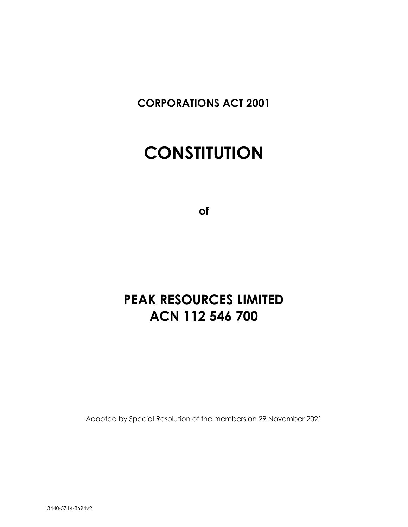**CORPORATIONS ACT 2001**

# **CONSTITUTION**

**of**

## **PEAK RESOURCES LIMITED ACN 112 546 700**

Adopted by Special Resolution of the members on 29 November 2021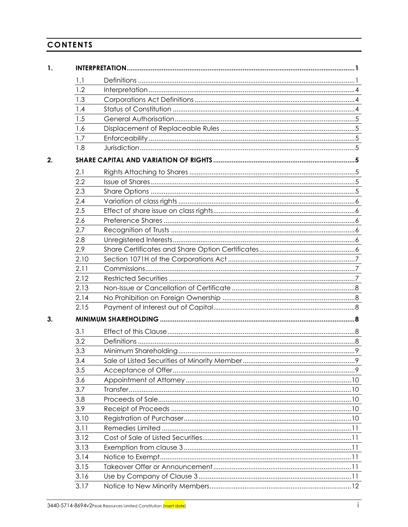## **CONTENTS**

| 1. |      |                                                    |
|----|------|----------------------------------------------------|
|    | 1.1  |                                                    |
|    | 1.2  |                                                    |
|    | 1.3  |                                                    |
|    | 1.4  |                                                    |
|    | 1.5  |                                                    |
|    | 1.6  |                                                    |
|    | 1.7  |                                                    |
|    | 1.8  |                                                    |
| 2. |      |                                                    |
|    | 2.1  |                                                    |
|    | 2.2  |                                                    |
|    | 2.3  |                                                    |
|    | 2.4  |                                                    |
|    | 2.5  |                                                    |
|    | 2.6  |                                                    |
|    | 2.7  |                                                    |
|    | 2.8  |                                                    |
|    | 2.9  |                                                    |
|    | 2.10 |                                                    |
|    | 2.11 |                                                    |
|    | 2.12 |                                                    |
|    | 2.13 |                                                    |
|    | 2.14 |                                                    |
|    | 2.15 |                                                    |
| 3. |      |                                                    |
|    | 3.1  |                                                    |
|    | 3.2  |                                                    |
|    | 3.3  |                                                    |
|    | 3.4  | Sale of Listed Securities of Minority Member<br>.9 |
|    | 3.5  |                                                    |
|    | 3.6  |                                                    |
|    | 3.7  |                                                    |
|    | 3.8  |                                                    |
|    | 3.9  |                                                    |
|    | 3.10 |                                                    |
|    | 3.11 |                                                    |
|    | 3.12 |                                                    |
|    | 3.13 |                                                    |
|    | 3.14 |                                                    |
|    | 3.15 |                                                    |
|    | 3.16 |                                                    |
|    | 3.17 |                                                    |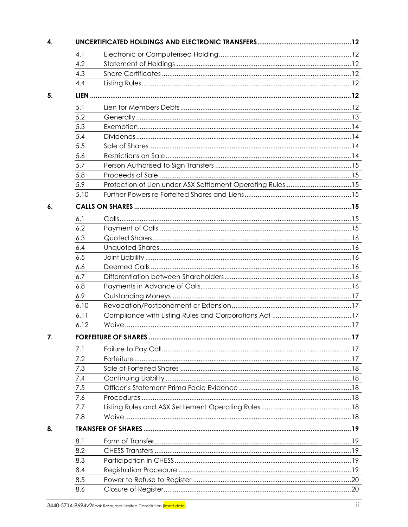| 4.1  |                                                            |  |
|------|------------------------------------------------------------|--|
| 4.2  |                                                            |  |
| 4.3  |                                                            |  |
| 4.4  |                                                            |  |
|      |                                                            |  |
| 5.1  |                                                            |  |
| 5.2  |                                                            |  |
| 5.3  |                                                            |  |
| 5.4  |                                                            |  |
| 5.5  |                                                            |  |
| 5.6  |                                                            |  |
| 5.7  |                                                            |  |
| 5.8  |                                                            |  |
| 5.9  | Protection of Lien under ASX Settlement Operating Rules 15 |  |
| 5.10 |                                                            |  |
|      |                                                            |  |
| 6.1  |                                                            |  |
| 6.2  |                                                            |  |
| 6.3  |                                                            |  |
| 6.4  |                                                            |  |
| 6.5  |                                                            |  |
| 6.6  |                                                            |  |
| 6.7  |                                                            |  |
| 6.8  |                                                            |  |
| 6.9  |                                                            |  |
| 6.10 |                                                            |  |
| 6.11 |                                                            |  |
| 6.12 |                                                            |  |
|      |                                                            |  |
| 7.1  |                                                            |  |
| 7.2  |                                                            |  |
| 7.3  |                                                            |  |
| 7.4  |                                                            |  |
| 7.5  |                                                            |  |
| 7.6  |                                                            |  |
| 7.7  |                                                            |  |
| 7.8  |                                                            |  |
|      |                                                            |  |
| 8.1  |                                                            |  |
| 8.2  |                                                            |  |
| 8.3  |                                                            |  |
| 8.4  |                                                            |  |
| 8.5  |                                                            |  |
| 8.6  |                                                            |  |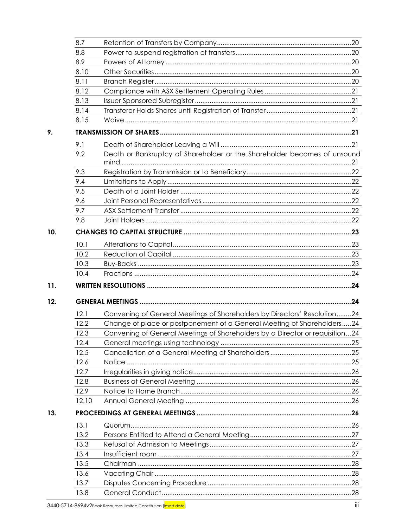| 8.8   |                                                                              |  |
|-------|------------------------------------------------------------------------------|--|
| 8.9   |                                                                              |  |
| 8.10  |                                                                              |  |
| 8.11  |                                                                              |  |
| 8.12  |                                                                              |  |
| 8.13  |                                                                              |  |
| 8.14  |                                                                              |  |
| 8.15  |                                                                              |  |
|       |                                                                              |  |
| 9.1   |                                                                              |  |
| 9.2   | Death or Bankruptcy of Shareholder or the Shareholder becomes of unsound     |  |
|       |                                                                              |  |
| 9.3   |                                                                              |  |
| 9.4   |                                                                              |  |
| 9.5   |                                                                              |  |
| 9.6   |                                                                              |  |
| 9.7   |                                                                              |  |
| 9.8   |                                                                              |  |
|       |                                                                              |  |
| 10.1  |                                                                              |  |
| 10.2  |                                                                              |  |
| 10.3  |                                                                              |  |
| 10.4  |                                                                              |  |
|       |                                                                              |  |
|       |                                                                              |  |
|       |                                                                              |  |
|       |                                                                              |  |
| 12.1  | Convening of General Meetings of Shareholders by Directors' Resolution24     |  |
| 12.2  | Change of place or postponement of a General Meeting of Shareholders24       |  |
| 12.3  | Convening of General Meetings of Shareholders by a Director or requisition24 |  |
| 12.4  |                                                                              |  |
| 12.5  |                                                                              |  |
| 12.6  |                                                                              |  |
| 12.7  |                                                                              |  |
| 12.8  |                                                                              |  |
| 12.9  |                                                                              |  |
| 12.10 |                                                                              |  |
|       |                                                                              |  |
| 13.1  |                                                                              |  |
| 13.2  |                                                                              |  |
| 13.3  |                                                                              |  |
| 13.4  |                                                                              |  |
| 13.5  |                                                                              |  |
| 13.6  |                                                                              |  |
| 13.7  |                                                                              |  |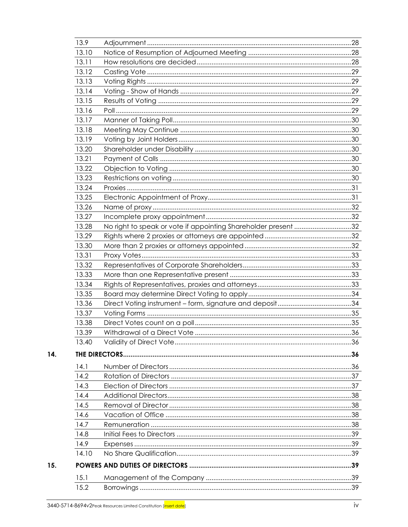| 13.9  |                                                                |  |
|-------|----------------------------------------------------------------|--|
| 13.10 |                                                                |  |
| 13.11 |                                                                |  |
| 13.12 |                                                                |  |
| 13.13 |                                                                |  |
| 13.14 |                                                                |  |
| 13.15 |                                                                |  |
| 13.16 |                                                                |  |
| 13.17 |                                                                |  |
| 13.18 |                                                                |  |
| 13.19 |                                                                |  |
| 13.20 |                                                                |  |
| 13.21 |                                                                |  |
| 13.22 |                                                                |  |
| 13.23 |                                                                |  |
| 13.24 |                                                                |  |
| 13.25 |                                                                |  |
| 13.26 |                                                                |  |
| 13.27 |                                                                |  |
| 13.28 | No right to speak or vote if appointing Shareholder present 32 |  |
| 13.29 |                                                                |  |
| 13.30 |                                                                |  |
| 13.31 |                                                                |  |
| 13.32 |                                                                |  |
| 13.33 |                                                                |  |
| 13.34 |                                                                |  |
| 13.35 |                                                                |  |
| 13.36 |                                                                |  |
| 13.37 |                                                                |  |
| 13.38 |                                                                |  |
| 13.39 |                                                                |  |
| 13.40 |                                                                |  |
|       |                                                                |  |
| 14.1  |                                                                |  |
| 14.2  |                                                                |  |
| 14.3  |                                                                |  |
| 14.4  |                                                                |  |
| 14.5  |                                                                |  |
| 14.6  |                                                                |  |
| 14.7  |                                                                |  |
| 14.8  |                                                                |  |
| 14.9  |                                                                |  |
| 14.10 |                                                                |  |
|       |                                                                |  |
| 15.1  |                                                                |  |
| 15.2  |                                                                |  |
|       |                                                                |  |

14.

 $15.$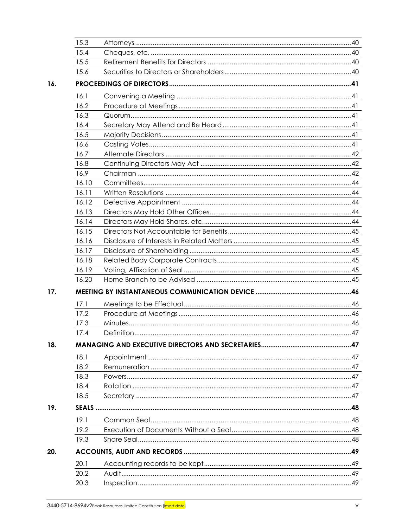|     | 15.3  |  |
|-----|-------|--|
|     | 15.4  |  |
|     | 15.5  |  |
|     | 15.6  |  |
| 16. |       |  |
|     | 16.1  |  |
|     | 16.2  |  |
|     | 16.3  |  |
|     | 16.4  |  |
|     | 16.5  |  |
|     | 16.6  |  |
|     | 16.7  |  |
|     | 16.8  |  |
|     | 16.9  |  |
|     | 16.10 |  |
|     | 16.11 |  |
|     | 16.12 |  |
|     | 16.13 |  |
|     | 16.14 |  |
|     | 16.15 |  |
|     | 16.16 |  |
|     | 16.17 |  |
|     | 16.18 |  |
|     | 16.19 |  |
|     | 16.20 |  |
| 17. |       |  |
|     | 17.1  |  |
|     | 17.2  |  |
|     | 17.3  |  |
|     | 17.4  |  |
| 18. |       |  |
|     | 18.1  |  |
|     | 18.2  |  |
|     | 18.3  |  |
|     | 18.4  |  |
|     | 18.5  |  |
| 19. |       |  |
|     | 19.1  |  |
|     | 19.2  |  |
|     | 19.3  |  |
| 20. |       |  |
|     | 20.1  |  |
|     | 20.2  |  |
|     |       |  |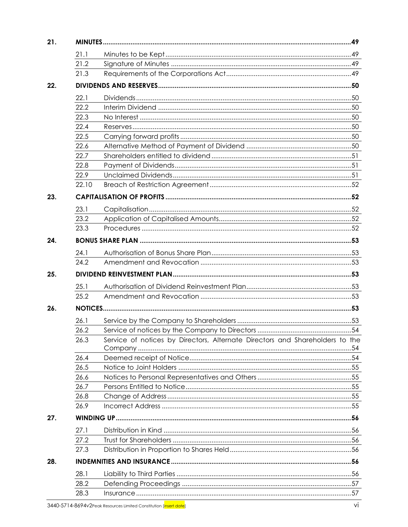| 21.1         |                                                                              |  |
|--------------|------------------------------------------------------------------------------|--|
| 21.2         |                                                                              |  |
| 21.3         |                                                                              |  |
|              |                                                                              |  |
| 22.1         |                                                                              |  |
| 22.2         |                                                                              |  |
| 22.3         |                                                                              |  |
| 22.4         |                                                                              |  |
| 22.5         |                                                                              |  |
| 22.6         |                                                                              |  |
| 22.7         |                                                                              |  |
| 22.8         |                                                                              |  |
| 22.9         |                                                                              |  |
| 22.10        |                                                                              |  |
|              |                                                                              |  |
| 23.1         |                                                                              |  |
| 23.2         |                                                                              |  |
| 23.3         |                                                                              |  |
|              |                                                                              |  |
|              |                                                                              |  |
| 24.1         |                                                                              |  |
| 24.2         |                                                                              |  |
|              |                                                                              |  |
| 25.1         |                                                                              |  |
| 25.2         |                                                                              |  |
|              |                                                                              |  |
|              |                                                                              |  |
| 26.1         |                                                                              |  |
| 26.2<br>26.3 | Service of notices by Directors, Alternate Directors and Shareholders to the |  |
|              |                                                                              |  |
| 26.4         |                                                                              |  |
| 26.5         |                                                                              |  |
| 26.6         |                                                                              |  |
| 26.7         |                                                                              |  |
| 26.8         |                                                                              |  |
| 26.9         |                                                                              |  |
|              |                                                                              |  |
| 27.1         |                                                                              |  |
| 27.2         |                                                                              |  |
| 27.3         |                                                                              |  |
|              |                                                                              |  |
| 28.1         |                                                                              |  |
| 28.2         |                                                                              |  |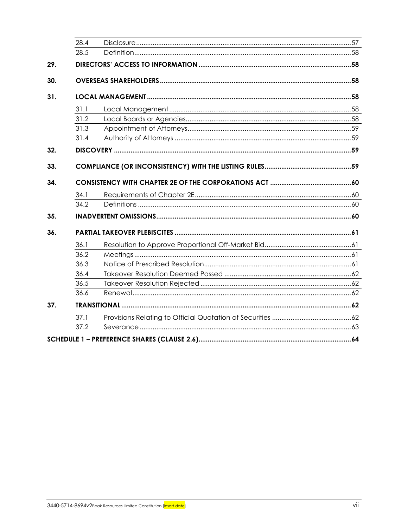| 28.4 |  |
|------|--|
| 28.5 |  |
|      |  |
|      |  |
|      |  |
| 31.1 |  |
| 31.2 |  |
| 31.3 |  |
| 31.4 |  |
|      |  |
|      |  |
|      |  |
|      |  |
|      |  |
| 34.1 |  |
| 34.2 |  |
|      |  |
|      |  |
| 36.1 |  |
| 36.2 |  |
| 36.3 |  |
| 36.4 |  |
| 36.5 |  |
| 36.6 |  |
|      |  |
| 37.1 |  |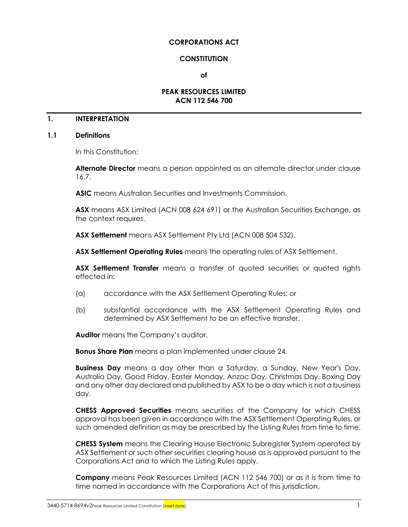#### **CORPORATIONS ACT**

#### **CONSTITUTION**

**of**

#### **PEAK RESOURCES LIMITED ACN 112 546 700**

#### **1. INTERPRETATION**

#### <span id="page-8-0"></span>**1.1 Definitions**

In this Constitution:

**Alternate Director** means a person appointed as an alternate director under clause [16.7.](#page-49-0)

**ASIC** means Australian Securities and Investments Commission.

**ASX** means ASX Limited (ACN 008 624 691) or the Australian Securities Exchange, as the context requires.

**ASX Settlement** means ASX Settlement Pty Ltd (ACN 008 504 532).

**ASX Settlement Operating Rules** means the operating rules of ASX Settlement.

**ASX Settlement Transfer** means a transfer of quoted securities or quoted rights effected in:

- (a) accordance with the ASX Settlement Operating Rules; or
- (b) substantial accordance with the ASX Settlement Operating Rules and determined by ASX Settlement to be an effective transfer.

**Auditor** means the Company's auditor.

**Bonus Share Plan** means a plan implemented under clause [24.](#page-60-0)

**Business Day** means a day other than a Saturday, a Sunday, New Year's Day, Australia Day, Good Friday, Easter Monday, Anzac Day, Christmas Day, Boxing Day and any other day declared and published by ASX to be a day which is not a business day.

**CHESS Approved Securities** means securities of the Company for which CHESS approval has been given in accordance with the ASX Settlement Operating Rules, or such amended definition as may be prescribed by the Listing Rules from time to time.

**CHESS System** means the Clearing House Electronic Subregister System operated by ASX Settlement or such other securities clearing house as is approved pursuant to the Corporations Act and to which the Listing Rules apply.

**Company** means Peak Resources Limited (ACN 112 546 700) or as it is from time to time named in accordance with the Corporations Act of this jurisdiction.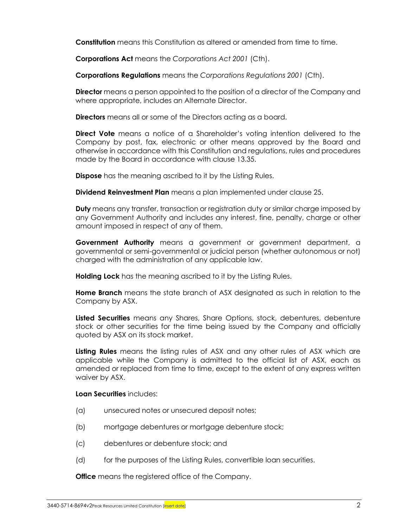**Constitution** means this Constitution as altered or amended from time to time.

**Corporations Act** means the *Corporations Act 2001* (Cth).

**Corporations Regulations** means the *Corporations Regulations 2001* (Cth).

**Director** means a person appointed to the position of a director of the Company and where appropriate, includes an Alternate Director.

**Directors** means all or some of the Directors acting as a board.

**Direct Vote** means a notice of a Shareholder's voting intention delivered to the Company by post, fax, electronic or other means approved by the Board and otherwise in accordance with this Constitution and regulations, rules and procedures made by the Board in accordance with clause [13.35.](#page-41-0)

**Dispose** has the meaning ascribed to it by the Listing Rules.

**Dividend Reinvestment Plan** means a plan implemented under clause [25.](#page-60-1)

**Duty** means any transfer, transaction or registration duty or similar charge imposed by any Government Authority and includes any interest, fine, penalty, charge or other amount imposed in respect of any of them.

**Government Authority** means a government or government department, a governmental or semi-governmental or judicial person (whether autonomous or not) charged with the administration of any applicable law.

**Holding Lock** has the meaning ascribed to it by the Listing Rules.

**Home Branch** means the state branch of ASX designated as such in relation to the Company by ASX.

**Listed Securities** means any Shares, Share Options, stock, debentures, debenture stock or other securities for the time being issued by the Company and officially quoted by ASX on its stock market.

**Listing Rules** means the listing rules of ASX and any other rules of ASX which are applicable while the Company is admitted to the official list of ASX, each as amended or replaced from time to time, except to the extent of any express written waiver by ASX.

#### **Loan Securities** includes:

- (a) unsecured notes or unsecured deposit notes;
- (b) mortgage debentures or mortgage debenture stock;
- (c) debentures or debenture stock; and
- (d) for the purposes of the Listing Rules, convertible loan securities.

**Office** means the registered office of the Company.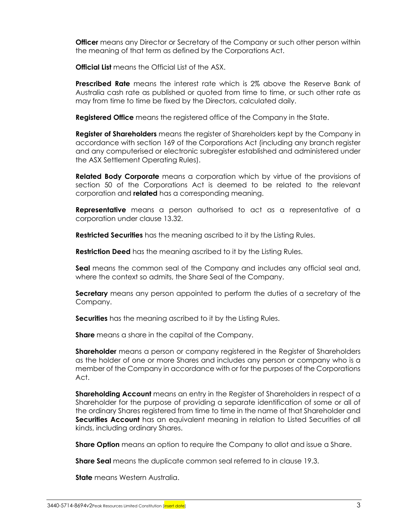**Officer** means any Director or Secretary of the Company or such other person within the meaning of that term as defined by the Corporations Act.

**Official List** means the Official List of the ASX.

**Prescribed Rate** means the interest rate which is 2% above the Reserve Bank of Australia cash rate as published or quoted from time to time, or such other rate as may from time to time be fixed by the Directors, calculated daily.

**Registered Office** means the registered office of the Company in the State.

**Register of Shareholders** means the register of Shareholders kept by the Company in accordance with section 169 of the Corporations Act (including any branch register and any computerised or electronic subregister established and administered under the ASX Settlement Operating Rules).

**Related Body Corporate** means a corporation which by virtue of the provisions of section 50 of the Corporations Act is deemed to be related to the relevant corporation and **related** has a corresponding meaning.

**Representative** means a person authorised to act as a representative of a corporation under clause [13.32.](#page-40-0)

**Restricted Securities** has the meaning ascribed to it by the Listing Rules.

**Restriction Deed** has the meaning ascribed to it by the Listing Rules.

**Seal** means the common seal of the Company and includes any official seal and, where the context so admits, the Share Seal of the Company.

**Secretary** means any person appointed to perform the duties of a secretary of the Company.

**Securities** has the meaning ascribed to it by the Listing Rules.

**Share** means a share in the capital of the Company.

**Shareholder** means a person or company registered in the Register of Shareholders as the holder of one or more Shares and includes any person or company who is a member of the Company in accordance with or for the purposes of the Corporations Act.

**Shareholding Account** means an entry in the Register of Shareholders in respect of a Shareholder for the purpose of providing a separate identification of some or all of the ordinary Shares registered from time to time in the name of that Shareholder and **Securities Account** has an equivalent meaning in relation to Listed Securities of all kinds, including ordinary Shares.

**Share Option** means an option to require the Company to allot and issue a Share.

**Share Seal** means the duplicate common seal referred to in clause [19.3.](#page-55-0)

**State** means Western Australia.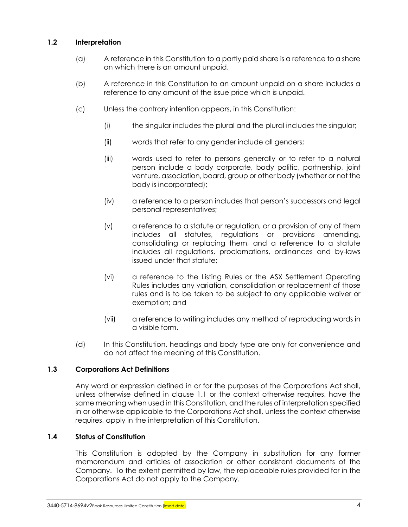## **1.2 Interpretation**

- (a) A reference in this Constitution to a partly paid share is a reference to a share on which there is an amount unpaid.
- (b) A reference in this Constitution to an amount unpaid on a share includes a reference to any amount of the issue price which is unpaid.
- (c) Unless the contrary intention appears, in this Constitution:
	- (i) the singular includes the plural and the plural includes the singular;
	- (ii) words that refer to any gender include all genders;
	- (iii) words used to refer to persons generally or to refer to a natural person include a body corporate, body politic, partnership, joint venture, association, board, group or other body (whether or not the body is incorporated);
	- (iv) a reference to a person includes that person's successors and legal personal representatives;
	- (v) a reference to a statute or regulation, or a provision of any of them includes all statutes, regulations or provisions amending, consolidating or replacing them, and a reference to a statute includes all regulations, proclamations, ordinances and by-laws issued under that statute;
	- (vi) a reference to the Listing Rules or the ASX Settlement Operating Rules includes any variation, consolidation or replacement of those rules and is to be taken to be subject to any applicable waiver or exemption; and
	- (vii) a reference to writing includes any method of reproducing words in a visible form.
- (d) In this Constitution, headings and body type are only for convenience and do not affect the meaning of this Constitution.

#### **1.3 Corporations Act Definitions**

Any word or expression defined in or for the purposes of the Corporations Act shall, unless otherwise defined in clause [1.1](#page-8-0) or the context otherwise requires, have the same meaning when used in this Constitution, and the rules of interpretation specified in or otherwise applicable to the Corporations Act shall, unless the context otherwise requires, apply in the interpretation of this Constitution.

#### **1.4 Status of Constitution**

This Constitution is adopted by the Company in substitution for any former memorandum and articles of association or other consistent documents of the Company. To the extent permitted by law, the replaceable rules provided for in the Corporations Act do not apply to the Company.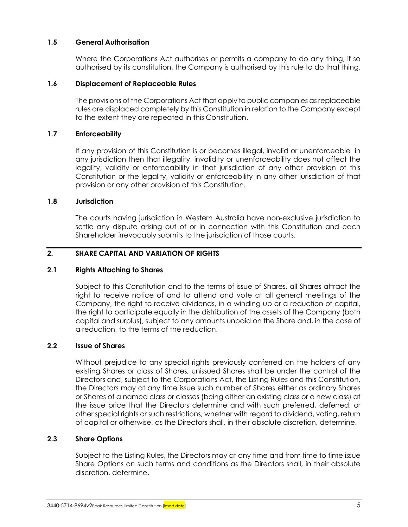#### **1.5 General Authorisation**

Where the Corporations Act authorises or permits a company to do any thing, if so authorised by its constitution, the Company is authorised by this rule to do that thing.

#### **1.6 Displacement of Replaceable Rules**

The provisions of the Corporations Act that apply to public companies as replaceable rules are displaced completely by this Constitution in relation to the Company except to the extent they are repeated in this Constitution.

#### **1.7 Enforceability**

If any provision of this Constitution is or becomes illegal, invalid or unenforceable in any jurisdiction then that illegality, invalidity or unenforceability does not affect the legality, validity or enforceability in that jurisdiction of any other provision of this Constitution or the legality, validity or enforceability in any other jurisdiction of that provision or any other provision of this Constitution.

#### **1.8 Jurisdiction**

The courts having jurisdiction in Western Australia have non-exclusive jurisdiction to settle any dispute arising out of or in connection with this Constitution and each Shareholder irrevocably submits to the jurisdiction of those courts.

#### <span id="page-12-0"></span>**2. SHARE CAPITAL AND VARIATION OF RIGHTS**

#### **2.1 Rights Attaching to Shares**

Subject to this Constitution and to the terms of issue of Shares, all Shares attract the right to receive notice of and to attend and vote at all general meetings of the Company, the right to receive dividends, in a winding up or a reduction of capital, the right to participate equally in the distribution of the assets of the Company (both capital and surplus), subject to any amounts unpaid on the Share and, in the case of a reduction, to the terms of the reduction.

#### **2.2 Issue of Shares**

Without prejudice to any special rights previously conferred on the holders of any existing Shares or class of Shares, unissued Shares shall be under the control of the Directors and, subject to the Corporations Act, the Listing Rules and this Constitution, the Directors may at any time issue such number of Shares either as ordinary Shares or Shares of a named class or classes (being either an existing class or a new class) at the issue price that the Directors determine and with such preferred, deferred, or other special rights or such restrictions, whether with regard to dividend, voting, return of capital or otherwise, as the Directors shall, in their absolute discretion, determine.

#### **2.3 Share Options**

Subject to the Listing Rules, the Directors may at any time and from time to time issue Share Options on such terms and conditions as the Directors shall, in their absolute discretion, determine.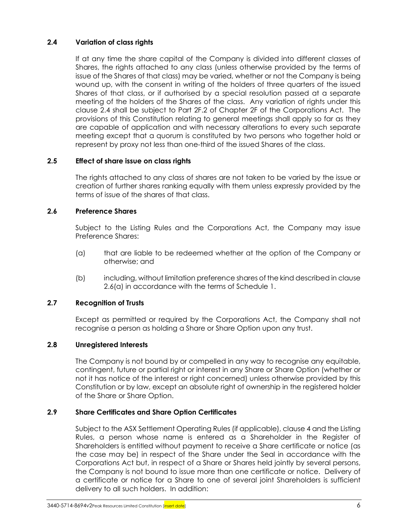## <span id="page-13-0"></span>**2.4 Variation of class rights**

If at any time the share capital of the Company is divided into different classes of Shares, the rights attached to any class (unless otherwise provided by the terms of issue of the Shares of that class) may be varied, whether or not the Company is being wound up, with the consent in writing of the holders of three quarters of the issued Shares of that class, or if authorised by a special resolution passed at a separate meeting of the holders of the Shares of the class. Any variation of rights under this clause [2.4](#page-13-0) shall be subject to Part 2F.2 of Chapter 2F of the Corporations Act. The provisions of this Constitution relating to general meetings shall apply so far as they are capable of application and with necessary alterations to every such separate meeting except that a quorum is constituted by two persons who together hold or represent by proxy not less than one-third of the issued Shares of the class.

## **2.5 Effect of share issue on class rights**

The rights attached to any class of shares are not taken to be varied by the issue or creation of further shares ranking equally with them unless expressly provided by the terms of issue of the shares of that class.

## **2.6 Preference Shares**

Subject to the Listing Rules and the Corporations Act, the Company may issue Preference Shares:

- <span id="page-13-1"></span>(a) that are liable to be redeemed whether at the option of the Company or otherwise; and
- (b) including, without limitation preference shares of the kind described in clause [2.6\(a\)](#page-13-1) in accordance with the terms of [Schedule](#page-71-0) 1.

## **2.7 Recognition of Trusts**

Except as permitted or required by the Corporations Act, the Company shall not recognise a person as holding a Share or Share Option upon any trust.

## **2.8 Unregistered Interests**

The Company is not bound by or compelled in any way to recognise any equitable, contingent, future or partial right or interest in any Share or Share Option (whether or not it has notice of the interest or right concerned) unless otherwise provided by this Constitution or by law, except an absolute right of ownership in the registered holder of the Share or Share Option.

## <span id="page-13-2"></span>**2.9 Share Certificates and Share Option Certificates**

Subject to the ASX Settlement Operating Rules (if applicable), claus[e 4](#page-19-0) and the Listing Rules, a person whose name is entered as a Shareholder in the Register of Shareholders is entitled without payment to receive a Share certificate or notice (as the case may be) in respect of the Share under the Seal in accordance with the Corporations Act but, in respect of a Share or Shares held jointly by several persons, the Company is not bound to issue more than one certificate or notice. Delivery of a certificate or notice for a Share to one of several joint Shareholders is sufficient delivery to all such holders. In addition: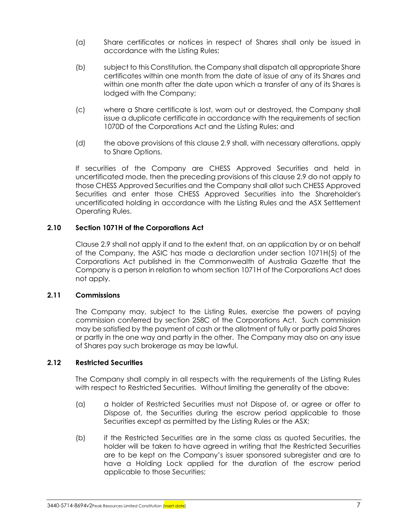- (a) Share certificates or notices in respect of Shares shall only be issued in accordance with the Listing Rules;
- (b) subject to this Constitution, the Company shall dispatch all appropriate Share certificates within one month from the date of issue of any of its Shares and within one month after the date upon which a transfer of any of its Shares is lodged with the Company;
- (c) where a Share certificate is lost, worn out or destroyed, the Company shall issue a duplicate certificate in accordance with the requirements of section 1070D of the Corporations Act and the Listing Rules; and
- (d) the above provisions of this clause [2.9](#page-13-2) shall, with necessary alterations, apply to Share Options.

If securities of the Company are CHESS Approved Securities and held in uncertificated mode, then the preceding provisions of this clause [2.9](#page-13-2) do not apply to those CHESS Approved Securities and the Company shall allot such CHESS Approved Securities and enter those CHESS Approved Securities into the Shareholder's uncertificated holding in accordance with the Listing Rules and the ASX Settlement Operating Rules.

#### **2.10 Section 1071H of the Corporations Act**

Clause [2.9](#page-13-2) shall not apply if and to the extent that, on an application by or on behalf of the Company, the ASIC has made a declaration under section 1071H(5) of the Corporations Act published in the Commonwealth of Australia Gazette that the Company is a person in relation to whom section 1071H of the Corporations Act does not apply.

#### **2.11 Commissions**

The Company may, subject to the Listing Rules, exercise the powers of paying commission conferred by section 258C of the Corporations Act. Such commission may be satisfied by the payment of cash or the allotment of fully or partly paid Shares or partly in the one way and partly in the other. The Company may also on any issue of Shares pay such brokerage as may be lawful.

#### **2.12 Restricted Securities**

The Company shall comply in all respects with the requirements of the Listing Rules with respect to Restricted Securities. Without limiting the generality of the above:

- (a) a holder of Restricted Securities must not Dispose of, or agree or offer to Dispose of, the Securities during the escrow period applicable to those Securities except as permitted by the Listing Rules or the ASX;
- (b) if the Restricted Securities are in the same class as quoted Securities, the holder will be taken to have agreed in writing that the Restricted Securities are to be kept on the Company's issuer sponsored subregister and are to have a Holding Lock applied for the duration of the escrow period applicable to those Securities;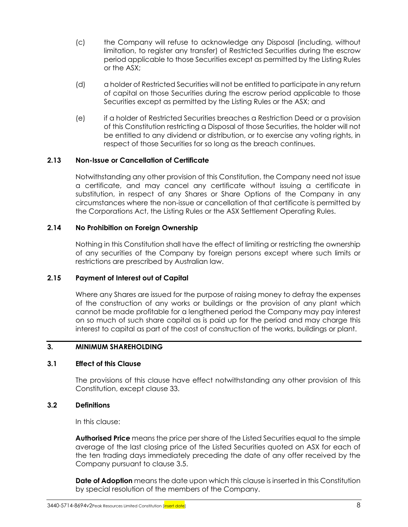- (c) the Company will refuse to acknowledge any Disposal (including, without limitation, to register any transfer) of Restricted Securities during the escrow period applicable to those Securities except as permitted by the Listing Rules or the ASX;
- (d) a holder of Restricted Securities will not be entitled to participate in any return of capital on those Securities during the escrow period applicable to those Securities except as permitted by the Listing Rules or the ASX; and
- (e) if a holder of Restricted Securities breaches a Restriction Deed or a provision of this Constitution restricting a Disposal of those Securities, the holder will not be entitled to any dividend or distribution, or to exercise any voting rights, in respect of those Securities for so long as the breach continues.

#### **2.13 Non-Issue or Cancellation of Certificate**

Notwithstanding any other provision of this Constitution, the Company need not issue a certificate, and may cancel any certificate without issuing a certificate in substitution, in respect of any Shares or Share Options of the Company in any circumstances where the non-issue or cancellation of that certificate is permitted by the Corporations Act, the Listing Rules or the ASX Settlement Operating Rules.

#### **2.14 No Prohibition on Foreign Ownership**

Nothing in this Constitution shall have the effect of limiting or restricting the ownership of any securities of the Company by foreign persons except where such limits or restrictions are prescribed by Australian law.

#### **2.15 Payment of Interest out of Capital**

Where any Shares are issued for the purpose of raising money to defray the expenses of the construction of any works or buildings or the provision of any plant which cannot be made profitable for a lengthened period the Company may pay interest on so much of such share capital as is paid up for the period and may charge this interest to capital as part of the cost of construction of the works, buildings or plant.

#### <span id="page-15-0"></span>**3. MINIMUM SHAREHOLDING**

#### **3.1 Effect of this Clause**

The provisions of this clause have effect notwithstanding any other provision of this Constitution, except clause [33.](#page-66-0)

#### **3.2 Definitions**

In this clause:

**Authorised Price** means the price per share of the Listed Securities equal to the simple average of the last closing price of the Listed Securities quoted on ASX for each of the ten trading days immediately preceding the date of any offer received by the Company pursuant to clause 3.5.

**Date of Adoption** means the date upon which this clause is inserted in this Constitution by special resolution of the members of the Company.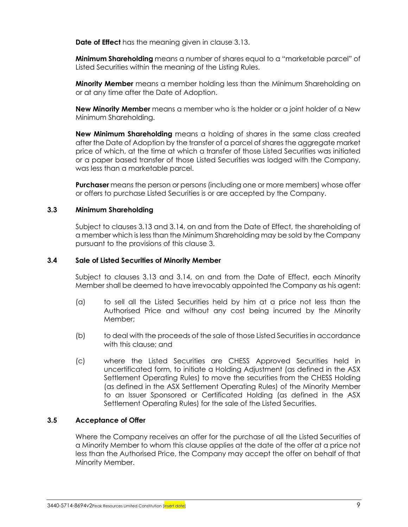**Date of Effect** has the meaning given in clause [3.13.](#page-18-0)

**Minimum Shareholding** means a number of shares equal to a "marketable parcel" of Listed Securities within the meaning of the Listing Rules.

**Minority Member** means a member holding less than the Minimum Shareholding on or at any time after the Date of Adoption.

**New Minority Member** means a member who is the holder or a joint holder of a New Minimum Shareholding.

**New Minimum Shareholding** means a holding of shares in the same class created after the Date of Adoption by the transfer of a parcel of shares the aggregate market price of which, at the time at which a transfer of those Listed Securities was initiated or a paper based transfer of those Listed Securities was lodged with the Company, was less than a marketable parcel.

**Purchaser** means the person or persons (including one or more members) whose offer or offers to purchase Listed Securities is or are accepted by the Company.

#### **3.3 Minimum Shareholding**

Subject to clauses [3.13](#page-18-0) and [3.14,](#page-18-1) on and from the Date of Effect, the shareholding of a member which is less than the Minimum Shareholding may be sold by the Company pursuant to the provisions of this clause [3.](#page-15-0)

#### **3.4 Sale of Listed Securities of Minority Member**

Subject to clauses [3.13](#page-18-0) and [3.14,](#page-18-1) on and from the Date of Effect, each Minority Member shall be deemed to have irrevocably appointed the Company as his agent:

- (a) to sell all the Listed Securities held by him at a price not less than the Authorised Price and without any cost being incurred by the Minority Member;
- (b) to deal with the proceeds of the sale of those Listed Securities in accordance with this clause; and
- (c) where the Listed Securities are CHESS Approved Securities held in uncertificated form, to initiate a Holding Adjustment (as defined in the ASX Settlement Operating Rules) to move the securities from the CHESS Holding (as defined in the ASX Settlement Operating Rules) of the Minority Member to an Issuer Sponsored or Certificated Holding (as defined in the ASX Settlement Operating Rules) for the sale of the Listed Securities.

#### **3.5 Acceptance of Offer**

Where the Company receives an offer for the purchase of all the Listed Securities of a Minority Member to whom this clause applies at the date of the offer at a price not less than the Authorised Price, the Company may accept the offer on behalf of that Minority Member.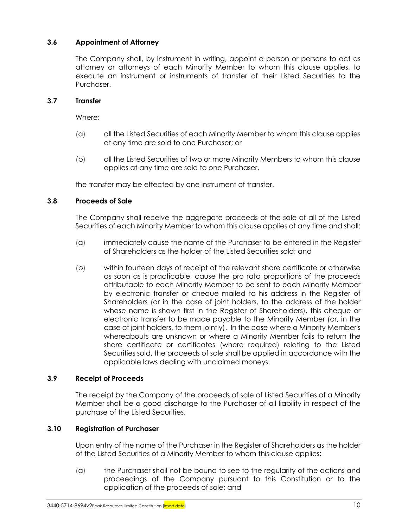## **3.6 Appointment of Attorney**

The Company shall, by instrument in writing, appoint a person or persons to act as attorney or attorneys of each Minority Member to whom this clause applies, to execute an instrument or instruments of transfer of their Listed Securities to the Purchaser.

#### **3.7 Transfer**

Where:

- (a) all the Listed Securities of each Minority Member to whom this clause applies at any time are sold to one Purchaser; or
- (b) all the Listed Securities of two or more Minority Members to whom this clause applies at any time are sold to one Purchaser,

the transfer may be effected by one instrument of transfer.

#### <span id="page-17-0"></span>**3.8 Proceeds of Sale**

The Company shall receive the aggregate proceeds of the sale of all of the Listed Securities of each Minority Member to whom this clause applies at any time and shall:

- (a) immediately cause the name of the Purchaser to be entered in the Register of Shareholders as the holder of the Listed Securities sold; and
- (b) within fourteen days of receipt of the relevant share certificate or otherwise as soon as is practicable, cause the pro rata proportions of the proceeds attributable to each Minority Member to be sent to each Minority Member by electronic transfer or cheque mailed to his address in the Register of Shareholders (or in the case of joint holders, to the address of the holder whose name is shown first in the Register of Shareholders), this cheque or electronic transfer to be made payable to the Minority Member (or, in the case of joint holders, to them jointly). In the case where a Minority Member's whereabouts are unknown or where a Minority Member fails to return the share certificate or certificates (where required) relating to the Listed Securities sold, the proceeds of sale shall be applied in accordance with the applicable laws dealing with unclaimed moneys.

#### **3.9 Receipt of Proceeds**

The receipt by the Company of the proceeds of sale of Listed Securities of a Minority Member shall be a good discharge to the Purchaser of all liability in respect of the purchase of the Listed Securities.

#### **3.10 Registration of Purchaser**

Upon entry of the name of the Purchaser in the Register of Shareholders as the holder of the Listed Securities of a Minority Member to whom this clause applies:

(a) the Purchaser shall not be bound to see to the regularity of the actions and proceedings of the Company pursuant to this Constitution or to the application of the proceeds of sale; and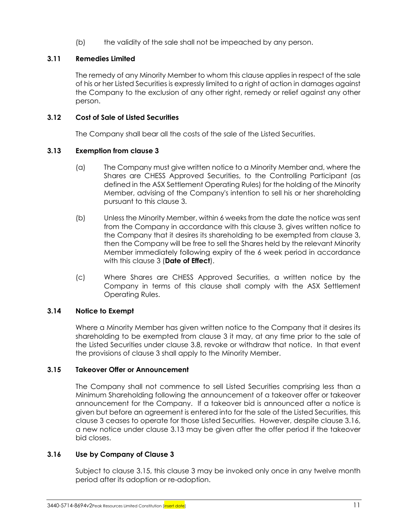(b) the validity of the sale shall not be impeached by any person.

## **3.11 Remedies Limited**

The remedy of any Minority Member to whom this clause applies in respect of the sale of his or her Listed Securities is expressly limited to a right of action in damages against the Company to the exclusion of any other right, remedy or relief against any other person.

## **3.12 Cost of Sale of Listed Securities**

The Company shall bear all the costs of the sale of the Listed Securities.

## <span id="page-18-0"></span>**3.13 Exemption from clause [3](#page-15-0)**

- (a) The Company must give written notice to a Minority Member and, where the Shares are CHESS Approved Securities, to the Controlling Participant (as defined in the ASX Settlement Operating Rules) for the holding of the Minority Member, advising of the Company's intention to sell his or her shareholding pursuant to this clause [3.](#page-15-0)
- (b) Unless the Minority Member, within 6 weeks from the date the notice was sent from the Company in accordance with this clause [3,](#page-15-0) gives written notice to the Company that it desires its shareholding to be exempted from clause [3,](#page-15-0) then the Company will be free to sell the Shares held by the relevant Minority Member immediately following expiry of the 6 week period in accordance with this clause [3](#page-15-0) (**Date of Effect**).
- (c) Where Shares are CHESS Approved Securities, a written notice by the Company in terms of this clause shall comply with the ASX Settlement Operating Rules.

## <span id="page-18-1"></span>**3.14 Notice to Exempt**

Where a Minority Member has given written notice to the Company that it desires its shareholding to be exempted from clause [3](#page-15-0) it may, at any time prior to the sale of the Listed Securities under clause [3.8,](#page-17-0) revoke or withdraw that notice. In that event the provisions of clause [3](#page-15-0) shall apply to the Minority Member.

## <span id="page-18-3"></span>**3.15 Takeover Offer or Announcement**

The Company shall not commence to sell Listed Securities comprising less than a Minimum Shareholding following the announcement of a takeover offer or takeover announcement for the Company. If a takeover bid is announced after a notice is given but before an agreement is entered into for the sale of the Listed Securities, this clause [3](#page-15-0) ceases to operate for those Listed Securities. However, despite clause [3.16,](#page-18-2) a new notice under clause [3.13](#page-18-0) may be given after the offer period if the takeover bid closes.

#### <span id="page-18-2"></span>**3.16 Use by Company of Clause [3](#page-15-0)**

Subject to clause [3.15,](#page-18-3) this clause [3](#page-15-0) may be invoked only once in any twelve month period after its adoption or re-adoption.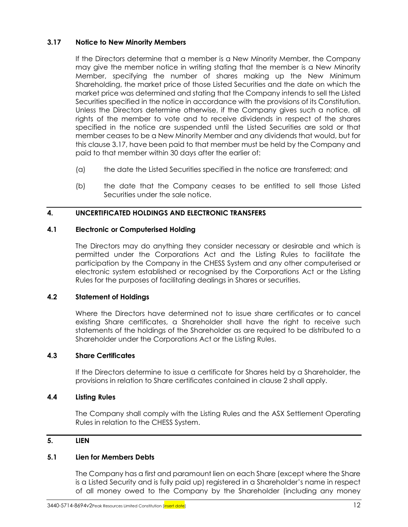## <span id="page-19-1"></span>**3.17 Notice to New Minority Members**

If the Directors determine that a member is a New Minority Member, the Company may give the member notice in writing stating that the member is a New Minority Member, specifying the number of shares making up the New Minimum Shareholding, the market price of those Listed Securities and the date on which the market price was determined and stating that the Company intends to sell the Listed Securities specified in the notice in accordance with the provisions of its Constitution. Unless the Directors determine otherwise, if the Company gives such a notice, all rights of the member to vote and to receive dividends in respect of the shares specified in the notice are suspended until the Listed Securities are sold or that member ceases to be a New Minority Member and any dividends that would, but for this clause [3.17,](#page-19-1) have been paid to that member must be held by the Company and paid to that member within 30 days after the earlier of:

- (a) the date the Listed Securities specified in the notice are transferred; and
- (b) the date that the Company ceases to be entitled to sell those Listed Securities under the sale notice.

#### <span id="page-19-0"></span>**4. UNCERTIFICATED HOLDINGS AND ELECTRONIC TRANSFERS**

#### **4.1 Electronic or Computerised Holding**

The Directors may do anything they consider necessary or desirable and which is permitted under the Corporations Act and the Listing Rules to facilitate the participation by the Company in the CHESS System and any other computerised or electronic system established or recognised by the Corporations Act or the Listing Rules for the purposes of facilitating dealings in Shares or securities.

#### **4.2 Statement of Holdings**

Where the Directors have determined not to issue share certificates or to cancel existing Share certificates, a Shareholder shall have the right to receive such statements of the holdings of the Shareholder as are required to be distributed to a Shareholder under the Corporations Act or the Listing Rules.

#### **4.3 Share Certificates**

If the Directors determine to issue a certificate for Shares held by a Shareholder, the provisions in relation to Share certificates contained in clause [2](#page-12-0) shall apply.

#### **4.4 Listing Rules**

The Company shall comply with the Listing Rules and the ASX Settlement Operating Rules in relation to the CHESS System.

## <span id="page-19-2"></span>**5. LIEN**

#### **5.1 Lien for Members Debts**

The Company has a first and paramount lien on each Share (except where the Share is a Listed Security and is fully paid up) registered in a Shareholder's name in respect of all money owed to the Company by the Shareholder (including any money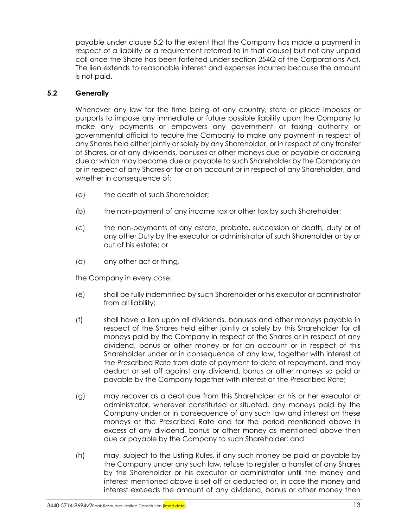payable under clause [5.2](#page-20-0) to the extent that the Company has made a payment in respect of a liability or a requirement referred to in that clause) but not any unpaid call once the Share has been forfeited under section 254Q of the Corporations Act. The lien extends to reasonable interest and expenses incurred because the amount is not paid.

## <span id="page-20-0"></span>**5.2 Generally**

Whenever any law for the time being of any country, state or place imposes or purports to impose any immediate or future possible liability upon the Company to make any payments or empowers any government or taxing authority or governmental official to require the Company to make any payment in respect of any Shares held either jointly or solely by any Shareholder, or in respect of any transfer of Shares, or of any dividends, bonuses or other moneys due or payable or accruing due or which may become due or payable to such Shareholder by the Company on or in respect of any Shares or for or on account or in respect of any Shareholder, and whether in consequence of:

- (a) the death of such Shareholder;
- (b) the non-payment of any income tax or other tax by such Shareholder;
- (c) the non-payments of any estate, probate, succession or death, duty or of any other Duty by the executor or administrator of such Shareholder or by or out of his estate; or
- (d) any other act or thing,

the Company in every case:

- (e) shall be fully indemnified by such Shareholder or his executor or administrator from all liability;
- (f) shall have a lien upon all dividends, bonuses and other moneys payable in respect of the Shares held either jointly or solely by this Shareholder for all moneys paid by the Company in respect of the Shares or in respect of any dividend, bonus or other money or for an account or in respect of this Shareholder under or in consequence of any law, together with interest at the Prescribed Rate from date of payment to date of repayment, and may deduct or set off against any dividend, bonus or other moneys so paid or payable by the Company together with interest at the Prescribed Rate;
- (g) may recover as a debt due from this Shareholder or his or her executor or administrator, wherever constituted or situated, any moneys paid by the Company under or in consequence of any such law and interest on these moneys at the Prescribed Rate and for the period mentioned above in excess of any dividend, bonus or other money as mentioned above then due or payable by the Company to such Shareholder; and
- (h) may, subject to the Listing Rules, if any such money be paid or payable by the Company under any such law, refuse to register a transfer of any Shares by this Shareholder or his executor or administrator until the money and interest mentioned above is set off or deducted or, in case the money and interest exceeds the amount of any dividend, bonus or other money then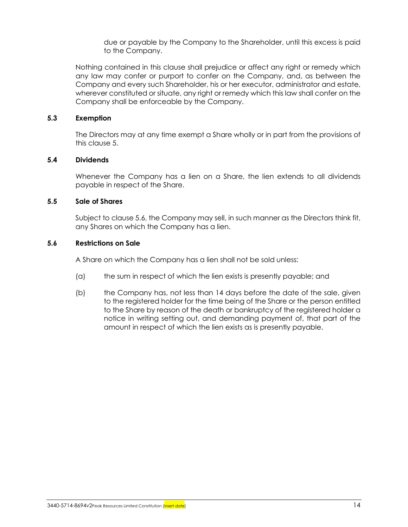due or payable by the Company to the Shareholder, until this excess is paid to the Company.

Nothing contained in this clause shall prejudice or affect any right or remedy which any law may confer or purport to confer on the Company, and, as between the Company and every such Shareholder, his or her executor, administrator and estate, wherever constituted or situate, any right or remedy which this law shall confer on the Company shall be enforceable by the Company.

#### **5.3 Exemption**

The Directors may at any time exempt a Share wholly or in part from the provisions of this clause [5.](#page-19-2)

#### **5.4 Dividends**

Whenever the Company has a lien on a Share, the lien extends to all dividends payable in respect of the Share.

#### <span id="page-21-1"></span>**5.5 Sale of Shares**

Subject to clause [5.6,](#page-21-0) the Company may sell, in such manner as the Directors think fit, any Shares on which the Company has a lien.

#### <span id="page-21-0"></span>**5.6 Restrictions on Sale**

A Share on which the Company has a lien shall not be sold unless:

- (a) the sum in respect of which the lien exists is presently payable; and
- (b) the Company has, not less than 14 days before the date of the sale, given to the registered holder for the time being of the Share or the person entitled to the Share by reason of the death or bankruptcy of the registered holder a notice in writing setting out, and demanding payment of, that part of the amount in respect of which the lien exists as is presently payable.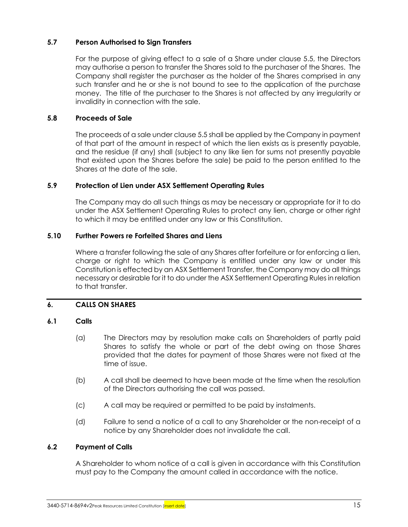## **5.7 Person Authorised to Sign Transfers**

For the purpose of giving effect to a sale of a Share under clause [5.5,](#page-21-1) the Directors may authorise a person to transfer the Shares sold to the purchaser of the Shares. The Company shall register the purchaser as the holder of the Shares comprised in any such transfer and he or she is not bound to see to the application of the purchase money. The title of the purchaser to the Shares is not affected by any irregularity or invalidity in connection with the sale.

#### **5.8 Proceeds of Sale**

The proceeds of a sale under claus[e 5.5](#page-21-1) shall be applied by the Company in payment of that part of the amount in respect of which the lien exists as is presently payable, and the residue (if any) shall (subject to any like lien for sums not presently payable that existed upon the Shares before the sale) be paid to the person entitled to the Shares at the date of the sale.

#### **5.9 Protection of Lien under ASX Settlement Operating Rules**

The Company may do all such things as may be necessary or appropriate for it to do under the ASX Settlement Operating Rules to protect any lien, charge or other right to which it may be entitled under any law or this Constitution.

#### **5.10 Further Powers re Forfeited Shares and Liens**

Where a transfer following the sale of any Shares after forfeiture or for enforcing a lien, charge or right to which the Company is entitled under any law or under this Constitution is effected by an ASX Settlement Transfer, the Company may do all things necessary or desirable for it to do under the ASX Settlement Operating Rulesin relation to that transfer.

#### <span id="page-22-0"></span>**6. CALLS ON SHARES**

#### **6.1 Calls**

- (a) The Directors may by resolution make calls on Shareholders of partly paid Shares to satisfy the whole or part of the debt owing on those Shares provided that the dates for payment of those Shares were not fixed at the time of issue.
- (b) A call shall be deemed to have been made at the time when the resolution of the Directors authorising the call was passed.
- (c) A call may be required or permitted to be paid by instalments.
- (d) Failure to send a notice of a call to any Shareholder or the non-receipt of a notice by any Shareholder does not invalidate the call.

#### **6.2 Payment of Calls**

A Shareholder to whom notice of a call is given in accordance with this Constitution must pay to the Company the amount called in accordance with the notice.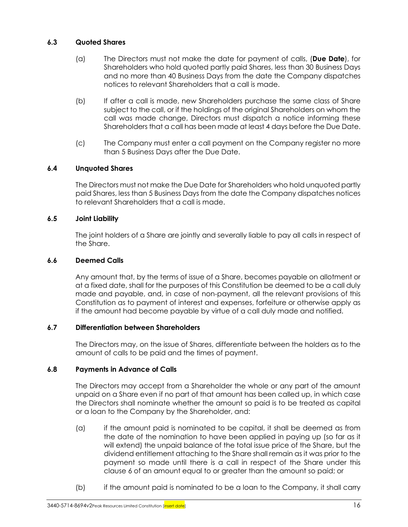## **6.3 Quoted Shares**

- (a) The Directors must not make the date for payment of calls, (**Due Date**), for Shareholders who hold quoted partly paid Shares, less than 30 Business Days and no more than 40 Business Days from the date the Company dispatches notices to relevant Shareholders that a call is made.
- (b) If after a call is made, new Shareholders purchase the same class of Share subject to the call, or if the holdings of the original Shareholders on whom the call was made change, Directors must dispatch a notice informing these Shareholders that a call has been made at least 4 days before the Due Date.
- (c) The Company must enter a call payment on the Company register no more than 5 Business Days after the Due Date.

## **6.4 Unquoted Shares**

The Directors must not make the Due Date for Shareholders who hold unquoted partly paid Shares, less than 5 Business Days from the date the Company dispatches notices to relevant Shareholders that a call is made.

#### **6.5 Joint Liability**

The joint holders of a Share are jointly and severally liable to pay all calls in respect of the Share.

#### **6.6 Deemed Calls**

Any amount that, by the terms of issue of a Share, becomes payable on allotment or at a fixed date, shall for the purposes of this Constitution be deemed to be a call duly made and payable, and, in case of non-payment, all the relevant provisions of this Constitution as to payment of interest and expenses, forfeiture or otherwise apply as if the amount had become payable by virtue of a call duly made and notified.

#### **6.7 Differentiation between Shareholders**

The Directors may, on the issue of Shares, differentiate between the holders as to the amount of calls to be paid and the times of payment.

#### **6.8 Payments in Advance of Calls**

The Directors may accept from a Shareholder the whole or any part of the amount unpaid on a Share even if no part of that amount has been called up, in which case the Directors shall nominate whether the amount so paid is to be treated as capital or a loan to the Company by the Shareholder, and:

- (a) if the amount paid is nominated to be capital, it shall be deemed as from the date of the nomination to have been applied in paying up (so far as it will extend) the unpaid balance of the total issue price of the Share, but the dividend entitlement attaching to the Share shall remain as it was prior to the payment so made until there is a call in respect of the Share under this clause [6](#page-22-0) of an amount equal to or greater than the amount so paid; or
- (b) if the amount paid is nominated to be a loan to the Company, it shall carry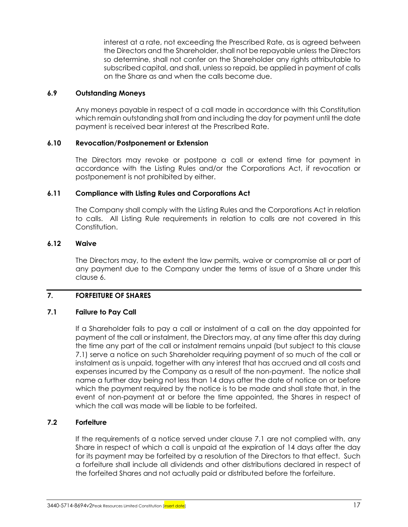interest at a rate, not exceeding the Prescribed Rate, as is agreed between the Directors and the Shareholder, shall not be repayable unless the Directors so determine, shall not confer on the Shareholder any rights attributable to subscribed capital, and shall, unless so repaid, be applied in payment of calls on the Share as and when the calls become due.

#### **6.9 Outstanding Moneys**

Any moneys payable in respect of a call made in accordance with this Constitution which remain outstanding shall from and including the day for payment until the date payment is received bear interest at the Prescribed Rate.

#### **6.10 Revocation/Postponement or Extension**

The Directors may revoke or postpone a call or extend time for payment in accordance with the Listing Rules and/or the Corporations Act, if revocation or postponement is not prohibited by either.

#### **6.11 Compliance with Listing Rules and Corporations Act**

The Company shall comply with the Listing Rules and the Corporations Act in relation to calls. All Listing Rule requirements in relation to calls are not covered in this Constitution.

#### **6.12 Waive**

The Directors may, to the extent the law permits, waive or compromise all or part of any payment due to the Company under the terms of issue of a Share under this claus[e 6.](#page-22-0)

## <span id="page-24-1"></span>**7. FORFEITURE OF SHARES**

#### <span id="page-24-0"></span>**7.1 Failure to Pay Call**

If a Shareholder fails to pay a call or instalment of a call on the day appointed for payment of the call or instalment, the Directors may, at any time after this day during the time any part of the call or instalment remains unpaid (but subject to this clause [7.1\)](#page-24-0) serve a notice on such Shareholder requiring payment of so much of the call or instalment as is unpaid, together with any interest that has accrued and all costs and expenses incurred by the Company as a result of the non-payment. The notice shall name a further day being not less than 14 days after the date of notice on or before which the payment required by the notice is to be made and shall state that, in the event of non-payment at or before the time appointed, the Shares in respect of which the call was made will be liable to be forfeited.

#### **7.2 Forfeiture**

If the requirements of a notice served under clause [7.1](#page-24-0) are not complied with, any Share in respect of which a call is unpaid at the expiration of 14 days after the day for its payment may be forfeited by a resolution of the Directors to that effect. Such a forfeiture shall include all dividends and other distributions declared in respect of the forfeited Shares and not actually paid or distributed before the forfeiture.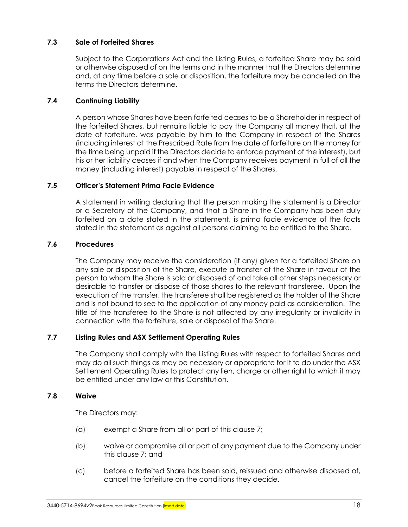## **7.3 Sale of Forfeited Shares**

Subject to the Corporations Act and the Listing Rules, a forfeited Share may be sold or otherwise disposed of on the terms and in the manner that the Directors determine and, at any time before a sale or disposition, the forfeiture may be cancelled on the terms the Directors determine.

## **7.4 Continuing Liability**

A person whose Shares have been forfeited ceases to be a Shareholder in respect of the forfeited Shares, but remains liable to pay the Company all money that, at the date of forfeiture, was payable by him to the Company in respect of the Shares (including interest at the Prescribed Rate from the date of forfeiture on the money for the time being unpaid if the Directors decide to enforce payment of the interest), but his or her liability ceases if and when the Company receives payment in full of all the money (including interest) payable in respect of the Shares.

#### **7.5 Officer's Statement Prima Facie Evidence**

A statement in writing declaring that the person making the statement is a Director or a Secretary of the Company, and that a Share in the Company has been duly forfeited on a date stated in the statement, is prima facie evidence of the facts stated in the statement as against all persons claiming to be entitled to the Share.

#### **7.6 Procedures**

The Company may receive the consideration (if any) given for a forfeited Share on any sale or disposition of the Share, execute a transfer of the Share in favour of the person to whom the Share is sold or disposed of and take all other steps necessary or desirable to transfer or dispose of those shares to the relevant transferee. Upon the execution of the transfer, the transferee shall be registered as the holder of the Share and is not bound to see to the application of any money paid as consideration. The title of the transferee to the Share is not affected by any irregularity or invalidity in connection with the forfeiture, sale or disposal of the Share.

## **7.7 Listing Rules and ASX Settlement Operating Rules**

The Company shall comply with the Listing Rules with respect to forfeited Shares and may do all such things as may be necessary or appropriate for it to do under the ASX Settlement Operating Rules to protect any lien, charge or other right to which it may be entitled under any law or this Constitution.

#### **7.8 Waive**

The Directors may:

- (a) exempt a Share from all or part of this clause [7;](#page-24-1)
- (b) waive or compromise all or part of any payment due to the Company under this clause [7;](#page-24-1) and
- (c) before a forfeited Share has been sold, reissued and otherwise disposed of, cancel the forfeiture on the conditions they decide.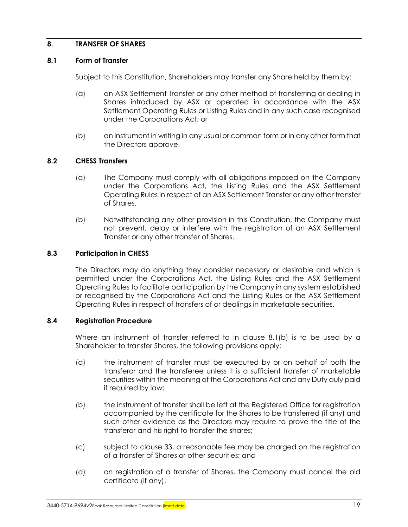## <span id="page-26-1"></span>**8. TRANSFER OF SHARES**

#### **8.1 Form of Transfer**

Subject to this Constitution, Shareholders may transfer any Share held by them by:

- (a) an ASX Settlement Transfer or any other method of transferring or dealing in Shares introduced by ASX or operated in accordance with the ASX Settlement Operating Rules or Listing Rules and in any such case recognised under the Corporations Act; or
- (b) an instrument in writing in any usual or common form or in any other form that the Directors approve.

#### <span id="page-26-0"></span>**8.2 CHESS Transfers**

- (a) The Company must comply with all obligations imposed on the Company under the Corporations Act, the Listing Rules and the ASX Settlement Operating Rules in respect of an ASX Settlement Transfer or any other transfer of Shares.
- (b) Notwithstanding any other provision in this Constitution, the Company must not prevent, delay or interfere with the registration of an ASX Settlement Transfer or any other transfer of Shares.

#### **8.3 Participation in CHESS**

The Directors may do anything they consider necessary or desirable and which is permitted under the Corporations Act, the Listing Rules and the ASX Settlement Operating Rules to facilitate participation by the Company in any system established or recognised by the Corporations Act and the Listing Rules or the ASX Settlement Operating Rules in respect of transfers of or dealings in marketable securities.

#### **8.4 Registration Procedure**

Where an instrument of transfer referred to in clause [8.1\(b\)](#page-26-0) is to be used by a Shareholder to transfer Shares, the following provisions apply:

- (a) the instrument of transfer must be executed by or on behalf of both the transferor and the transferee unless it is a sufficient transfer of marketable securities within the meaning of the Corporations Act and any Duty duly paid if required by law;
- (b) the instrument of transfer shall be left at the Registered Office for registration accompanied by the certificate for the Shares to be transferred (if any) and such other evidence as the Directors may require to prove the title of the transferor and his right to transfer the shares;
- (c) subject to clause [33,](#page-66-0) a reasonable fee may be charged on the registration of a transfer of Shares or other securities; and
- (d) on registration of a transfer of Shares, the Company must cancel the old certificate (if any).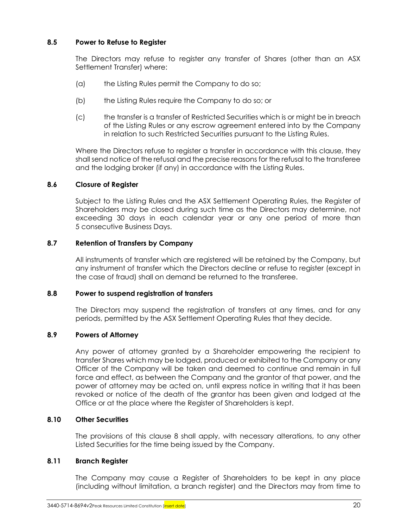## **8.5 Power to Refuse to Register**

The Directors may refuse to register any transfer of Shares (other than an ASX Settlement Transfer) where:

- (a) the Listing Rules permit the Company to do so;
- (b) the Listing Rules require the Company to do so; or
- (c) the transfer is a transfer of Restricted Securities which is or might be in breach of the Listing Rules or any escrow agreement entered into by the Company in relation to such Restricted Securities pursuant to the Listing Rules.

Where the Directors refuse to register a transfer in accordance with this clause, they shall send notice of the refusal and the precise reasons for the refusal to the transferee and the lodging broker (if any) in accordance with the Listing Rules.

#### **8.6 Closure of Register**

Subject to the Listing Rules and the ASX Settlement Operating Rules, the Register of Shareholders may be closed during such time as the Directors may determine, not exceeding 30 days in each calendar year or any one period of more than 5 consecutive Business Days.

#### **8.7 Retention of Transfers by Company**

All instruments of transfer which are registered will be retained by the Company, but any instrument of transfer which the Directors decline or refuse to register (except in the case of fraud) shall on demand be returned to the transferee.

#### **8.8 Power to suspend registration of transfers**

The Directors may suspend the registration of transfers at any times, and for any periods, permitted by the ASX Settlement Operating Rules that they decide.

## **8.9 Powers of Attorney**

Any power of attorney granted by a Shareholder empowering the recipient to transfer Shares which may be lodged, produced or exhibited to the Company or any Officer of the Company will be taken and deemed to continue and remain in full force and effect, as between the Company and the grantor of that power, and the power of attorney may be acted on, until express notice in writing that it has been revoked or notice of the death of the grantor has been given and lodged at the Office or at the place where the Register of Shareholders is kept.

#### **8.10 Other Securities**

The provisions of this clause [8](#page-26-1) shall apply, with necessary alterations, to any other Listed Securities for the time being issued by the Company.

#### **8.11 Branch Register**

The Company may cause a Register of Shareholders to be kept in any place (including without limitation, a branch register) and the Directors may from time to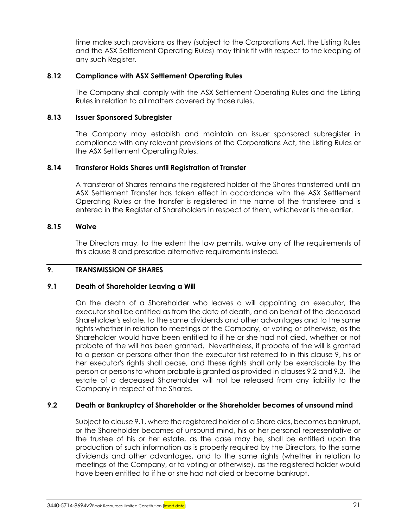time make such provisions as they (subject to the Corporations Act, the Listing Rules and the ASX Settlement Operating Rules) may think fit with respect to the keeping of any such Register.

#### **8.12 Compliance with ASX Settlement Operating Rules**

The Company shall comply with the ASX Settlement Operating Rules and the Listing Rules in relation to all matters covered by those rules.

#### **8.13 Issuer Sponsored Subregister**

The Company may establish and maintain an issuer sponsored subregister in compliance with any relevant provisions of the Corporations Act, the Listing Rules or the ASX Settlement Operating Rules.

#### **8.14 Transferor Holds Shares until Registration of Transfer**

A transferor of Shares remains the registered holder of the Shares transferred until an ASX Settlement Transfer has taken effect in accordance with the ASX Settlement Operating Rules or the transfer is registered in the name of the transferee and is entered in the Register of Shareholders in respect of them, whichever is the earlier.

#### **8.15 Waive**

The Directors may, to the extent the law permits, waive any of the requirements of this clause [8](#page-26-1) and prescribe alternative requirements instead.

#### <span id="page-28-0"></span>**9. TRANSMISSION OF SHARES**

#### <span id="page-28-2"></span>**9.1 Death of Shareholder Leaving a Will**

On the death of a Shareholder who leaves a will appointing an executor, the executor shall be entitled as from the date of death, and on behalf of the deceased Shareholder's estate, to the same dividends and other advantages and to the same rights whether in relation to meetings of the Company, or voting or otherwise, as the Shareholder would have been entitled to if he or she had not died, whether or not probate of the will has been granted. Nevertheless, if probate of the will is granted to a person or persons other than the executor first referred to in this clause [9,](#page-28-0) his or her executor's rights shall cease, and these rights shall only be exercisable by the person or persons to whom probate is granted as provided in clauses [9.2](#page-28-1) and [9.3.](#page-29-0) The estate of a deceased Shareholder will not be released from any liability to the Company in respect of the Shares.

## <span id="page-28-1"></span>**9.2 Death or Bankruptcy of Shareholder or the Shareholder becomes of unsound mind**

Subject to clause [9.1,](#page-28-2) where the registered holder of a Share dies, becomes bankrupt, or the Shareholder becomes of unsound mind, his or her personal representative or the trustee of his or her estate, as the case may be, shall be entitled upon the production of such information as is properly required by the Directors, to the same dividends and other advantages, and to the same rights (whether in relation to meetings of the Company, or to voting or otherwise), as the registered holder would have been entitled to if he or she had not died or become bankrupt.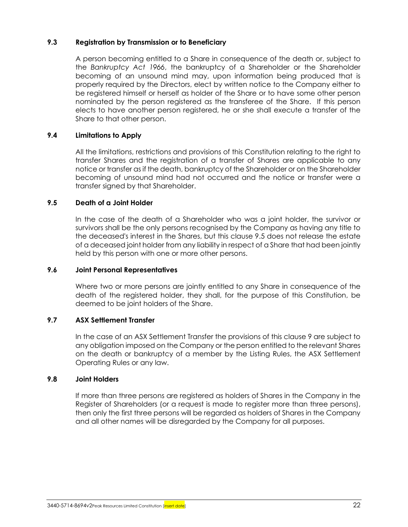#### <span id="page-29-0"></span>**9.3 Registration by Transmission or to Beneficiary**

A person becoming entitled to a Share in consequence of the death or, subject to the *Bankruptcy Act 1966*, the bankruptcy of a Shareholder or the Shareholder becoming of an unsound mind may, upon information being produced that is properly required by the Directors, elect by written notice to the Company either to be registered himself or herself as holder of the Share or to have some other person nominated by the person registered as the transferee of the Share. If this person elects to have another person registered, he or she shall execute a transfer of the Share to that other person.

#### **9.4 Limitations to Apply**

All the limitations, restrictions and provisions of this Constitution relating to the right to transfer Shares and the registration of a transfer of Shares are applicable to any notice or transfer as if the death, bankruptcy of the Shareholder or on the Shareholder becoming of unsound mind had not occurred and the notice or transfer were a transfer signed by that Shareholder.

#### <span id="page-29-1"></span>**9.5 Death of a Joint Holder**

In the case of the death of a Shareholder who was a joint holder, the survivor or survivors shall be the only persons recognised by the Company as having any title to the deceased's interest in the Shares, but this clause [9.5](#page-29-1) does not release the estate of a deceased joint holder from any liability in respect of a Share that had been jointly held by this person with one or more other persons.

#### **9.6 Joint Personal Representatives**

Where two or more persons are jointly entitled to any Share in consequence of the death of the registered holder, they shall, for the purpose of this Constitution, be deemed to be joint holders of the Share.

#### **9.7 ASX Settlement Transfer**

In the case of an ASX Settlement Transfer the provisions of this clause [9](#page-28-0) are subject to any obligation imposed on the Company or the person entitled to the relevant Shares on the death or bankruptcy of a member by the Listing Rules, the ASX Settlement Operating Rules or any law.

#### **9.8 Joint Holders**

If more than three persons are registered as holders of Shares in the Company in the Register of Shareholders (or a request is made to register more than three persons), then only the first three persons will be regarded as holders of Shares in the Company and all other names will be disregarded by the Company for all purposes.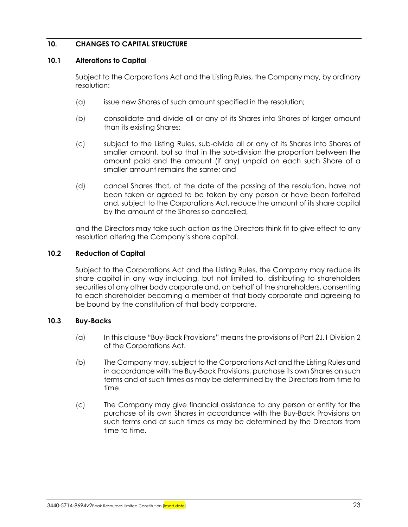## **10. CHANGES TO CAPITAL STRUCTURE**

#### **10.1 Alterations to Capital**

Subject to the Corporations Act and the Listing Rules, the Company may, by ordinary resolution:

- (a) issue new Shares of such amount specified in the resolution;
- (b) consolidate and divide all or any of its Shares into Shares of larger amount than its existing Shares;
- (c) subject to the Listing Rules, sub-divide all or any of its Shares into Shares of smaller amount, but so that in the sub-division the proportion between the amount paid and the amount (if any) unpaid on each such Share of a smaller amount remains the same; and
- (d) cancel Shares that, at the date of the passing of the resolution, have not been taken or agreed to be taken by any person or have been forfeited and, subject to the Corporations Act, reduce the amount of its share capital by the amount of the Shares so cancelled,

and the Directors may take such action as the Directors think fit to give effect to any resolution altering the Company's share capital.

#### **10.2 Reduction of Capital**

Subject to the Corporations Act and the Listing Rules, the Company may reduce its share capital in any way including, but not limited to, distributing to shareholders securities of any other body corporate and, on behalf of the shareholders, consenting to each shareholder becoming a member of that body corporate and agreeing to be bound by the constitution of that body corporate.

#### **10.3 Buy-Backs**

- (a) In this clause "Buy-Back Provisions" means the provisions of Part 2J.1 Division 2 of the Corporations Act.
- (b) The Company may, subject to the Corporations Act and the Listing Rules and in accordance with the Buy-Back Provisions, purchase its own Shares on such terms and at such times as may be determined by the Directors from time to time.
- (c) The Company may give financial assistance to any person or entity for the purchase of its own Shares in accordance with the Buy-Back Provisions on such terms and at such times as may be determined by the Directors from time to time.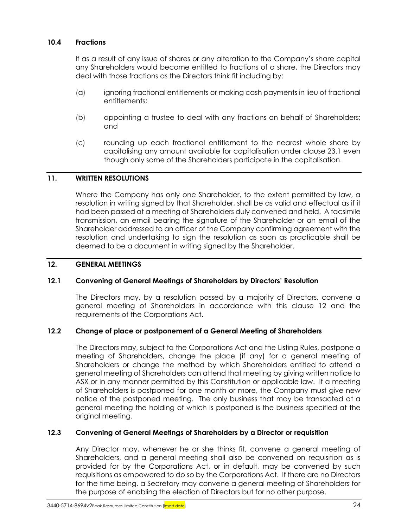## **10.4 Fractions**

If as a result of any issue of shares or any alteration to the Company's share capital any Shareholders would become entitled to fractions of a share, the Directors may deal with those fractions as the Directors think fit including by:

- (a) ignoring fractional entitlements or making cash payments in lieu of fractional entitlements;
- (b) appointing a trustee to deal with any fractions on behalf of Shareholders; and
- (c) rounding up each fractional entitlement to the nearest whole share by capitalising any amount available for capitalisation under clause [23.1](#page-59-0) even though only some of the Shareholders participate in the capitalisation.

#### **11. WRITTEN RESOLUTIONS**

Where the Company has only one Shareholder, to the extent permitted by law, a resolution in writing signed by that Shareholder, shall be as valid and effectual as if it had been passed at a meeting of Shareholders duly convened and held. A facsimile transmission, an email bearing the signature of the Shareholder or an email of the Shareholder addressed to an officer of the Company confirming agreement with the resolution and undertaking to sign the resolution as soon as practicable shall be deemed to be a document in writing signed by the Shareholder.

#### <span id="page-31-0"></span>**12. GENERAL MEETINGS**

#### <span id="page-31-1"></span>**12.1 Convening of General Meetings of Shareholders by Directors' Resolution**

The Directors may, by a resolution passed by a majority of Directors, convene a general meeting of Shareholders in accordance with this clause [12](#page-31-0) and the requirements of the Corporations Act.

#### **12.2 Change of place or postponement of a General Meeting of Shareholders**

The Directors may, subject to the Corporations Act and the Listing Rules, postpone a meeting of Shareholders, change the place (if any) for a general meeting of Shareholders or change the method by which Shareholders entitled to attend a general meeting of Shareholders can attend that meeting by giving written notice to ASX or in any manner permitted by this Constitution or applicable law. If a meeting of Shareholders is postponed for one month or more, the Company must give new notice of the postponed meeting. The only business that may be transacted at a general meeting the holding of which is postponed is the business specified at the original meeting.

#### **12.3 Convening of General Meetings of Shareholders by a Director or requisition**

Any Director may, whenever he or she thinks fit, convene a general meeting of Shareholders, and a general meeting shall also be convened on requisition as is provided for by the Corporations Act, or in default, may be convened by such requisitions as empowered to do so by the Corporations Act. If there are no Directors for the time being, a Secretary may convene a general meeting of Shareholders for the purpose of enabling the election of Directors but for no other purpose.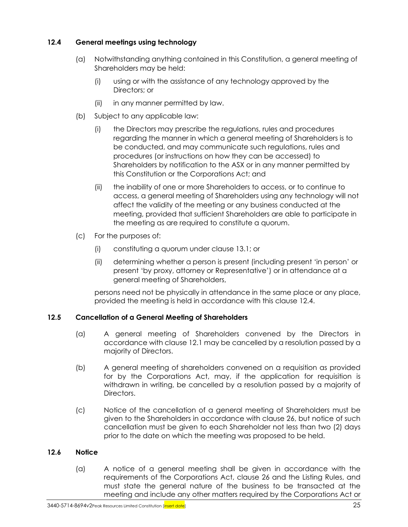## <span id="page-32-0"></span>**12.4 General meetings using technology**

- (a) Notwithstanding anything contained in this Constitution, a general meeting of Shareholders may be held:
	- (i) using or with the assistance of any technology approved by the Directors; or
	- (ii) in any manner permitted by law.
- (b) Subject to any applicable law:
	- (i) the Directors may prescribe the regulations, rules and procedures regarding the manner in which a general meeting of Shareholders is to be conducted, and may communicate such regulations, rules and procedures (or instructions on how they can be accessed) to Shareholders by notification to the ASX or in any manner permitted by this Constitution or the Corporations Act; and
	- (ii) the inability of one or more Shareholders to access, or to continue to access, a general meeting of Shareholders using any technology will not affect the validity of the meeting or any business conducted at the meeting, provided that sufficient Shareholders are able to participate in the meeting as are required to constitute a quorum.
- (c) For the purposes of:
	- (i) constituting a quorum under clause [13.1;](#page-33-0) or
	- (ii) determining whether a person is present (including present 'in person' or present 'by proxy, attorney or Representative') or in attendance at a general meeting of Shareholders,

persons need not be physically in attendance in the same place or any place, provided the meeting is held in accordance with this clause [12.4.](#page-32-0)

## **12.5 Cancellation of a General Meeting of Shareholders**

- (a) A general meeting of Shareholders convened by the Directors in accordance with clause [12.1](#page-31-1) may be cancelled by a resolution passed by a majority of Directors.
- (b) A general meeting of shareholders convened on a requisition as provided for by the Corporations Act, may, if the application for requisition is withdrawn in writing, be cancelled by a resolution passed by a majority of Directors.
- (c) Notice of the cancellation of a general meeting of Shareholders must be given to the Shareholders in accordance with clause [26,](#page-60-2) but notice of such cancellation must be given to each Shareholder not less than two (2) days prior to the date on which the meeting was proposed to be held.

## **12.6 Notice**

(a) A notice of a general meeting shall be given in accordance with the requirements of the Corporations Act, clause [26](#page-60-2) and the Listing Rules, and must state the general nature of the business to be transacted at the meeting and include any other matters required by the Corporations Act or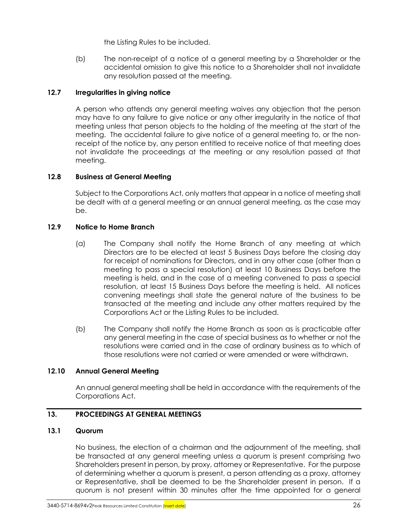the Listing Rules to be included.

(b) The non-receipt of a notice of a general meeting by a Shareholder or the accidental omission to give this notice to a Shareholder shall not invalidate any resolution passed at the meeting.

## **12.7 Irregularities in giving notice**

A person who attends any general meeting waives any objection that the person may have to any failure to give notice or any other irregularity in the notice of that meeting unless that person objects to the holding of the meeting at the start of the meeting. The accidental failure to give notice of a general meeting to, or the nonreceipt of the notice by, any person entitled to receive notice of that meeting does not invalidate the proceedings at the meeting or any resolution passed at that meeting.

## **12.8 Business at General Meeting**

Subject to the Corporations Act, only matters that appear in a notice of meeting shall be dealt with at a general meeting or an annual general meeting, as the case may be.

## **12.9 Notice to Home Branch**

- (a) The Company shall notify the Home Branch of any meeting at which Directors are to be elected at least 5 Business Days before the closing day for receipt of nominations for Directors, and in any other case (other than a meeting to pass a special resolution) at least 10 Business Days before the meeting is held, and in the case of a meeting convened to pass a special resolution, at least 15 Business Days before the meeting is held. All notices convening meetings shall state the general nature of the business to be transacted at the meeting and include any other matters required by the Corporations Act or the Listing Rules to be included.
- (b) The Company shall notify the Home Branch as soon as is practicable after any general meeting in the case of special business as to whether or not the resolutions were carried and in the case of ordinary business as to which of those resolutions were not carried or were amended or were withdrawn.

#### **12.10 Annual General Meeting**

An annual general meeting shall be held in accordance with the requirements of the Corporations Act.

#### **13. PROCEEDINGS AT GENERAL MEETINGS**

#### <span id="page-33-0"></span>**13.1 Quorum**

No business, the election of a chairman and the adjournment of the meeting, shall be transacted at any general meeting unless a quorum is present comprising two Shareholders present in person, by proxy, attorney or Representative. For the purpose of determining whether a quorum is present, a person attending as a proxy, attorney or Representative, shall be deemed to be the Shareholder present in person. If a quorum is not present within 30 minutes after the time appointed for a general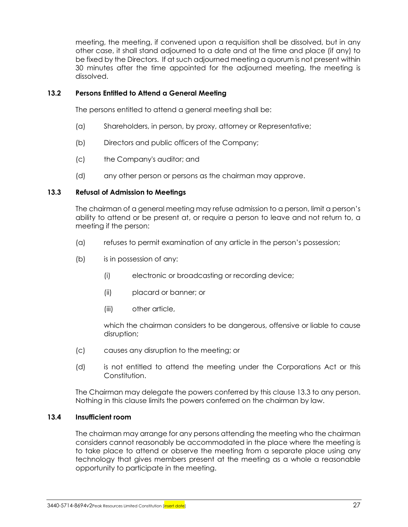meeting, the meeting, if convened upon a requisition shall be dissolved, but in any other case, it shall stand adjourned to a date and at the time and place (if any) to be fixed by the Directors. If at such adjourned meeting a quorum is not present within 30 minutes after the time appointed for the adjourned meeting, the meeting is dissolved.

#### **13.2 Persons Entitled to Attend a General Meeting**

The persons entitled to attend a general meeting shall be:

- (a) Shareholders, in person, by proxy, attorney or Representative;
- (b) Directors and public officers of the Company;
- (c) the Company's auditor; and
- (d) any other person or persons as the chairman may approve.

#### <span id="page-34-0"></span>**13.3 Refusal of Admission to Meetings**

The chairman of a general meeting may refuse admission to a person, limit a person's ability to attend or be present at, or require a person to leave and not return to, a meeting if the person:

- (a) refuses to permit examination of any article in the person's possession;
- (b) is in possession of any:
	- (i) electronic or broadcasting or recording device;
	- (ii) placard or banner; or
	- (iii) other article,

which the chairman considers to be dangerous, offensive or liable to cause disruption;

- (c) causes any disruption to the meeting; or
- (d) is not entitled to attend the meeting under the Corporations Act or this Constitution.

The Chairman may delegate the powers conferred by this claus[e 13.3](#page-34-0) to any person. Nothing in this clause limits the powers conferred on the chairman by law.

#### **13.4 Insufficient room**

The chairman may arrange for any persons attending the meeting who the chairman considers cannot reasonably be accommodated in the place where the meeting is to take place to attend or observe the meeting from a separate place using any technology that gives members present at the meeting as a whole a reasonable opportunity to participate in the meeting.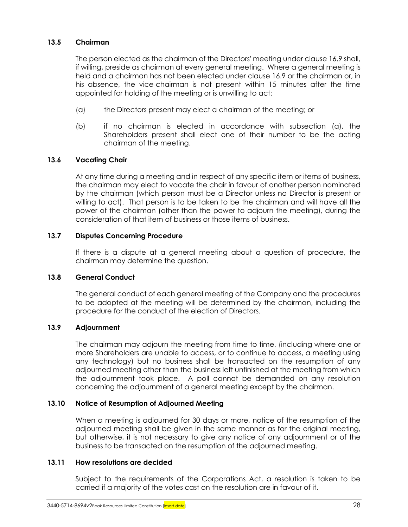#### **13.5 Chairman**

The person elected as the chairman of the Directors' meeting under clause [16.9](#page-49-1) shall, if willing, preside as chairman at every general meeting. Where a general meeting is held and a chairman has not been elected under clause [16.9](#page-49-1) or the chairman or, in his absence, the vice-chairman is not present within 15 minutes after the time appointed for holding of the meeting or is unwilling to act:

- (a) the Directors present may elect a chairman of the meeting; or
- (b) if no chairman is elected in accordance with subsection (a), the Shareholders present shall elect one of their number to be the acting chairman of the meeting.

## **13.6 Vacating Chair**

At any time during a meeting and in respect of any specific item or items of business, the chairman may elect to vacate the chair in favour of another person nominated by the chairman (which person must be a Director unless no Director is present or willing to act). That person is to be taken to be the chairman and will have all the power of the chairman (other than the power to adjourn the meeting), during the consideration of that item of business or those items of business.

## **13.7 Disputes Concerning Procedure**

If there is a dispute at a general meeting about a question of procedure, the chairman may determine the question.

#### **13.8 General Conduct**

The general conduct of each general meeting of the Company and the procedures to be adopted at the meeting will be determined by the chairman, including the procedure for the conduct of the election of Directors.

#### **13.9 Adjournment**

The chairman may adjourn the meeting from time to time, (including where one or more Shareholders are unable to access, or to continue to access, a meeting using any technology) but no business shall be transacted on the resumption of any adjourned meeting other than the business left unfinished at the meeting from which the adjournment took place. A poll cannot be demanded on any resolution concerning the adjournment of a general meeting except by the chairman.

#### **13.10 Notice of Resumption of Adjourned Meeting**

When a meeting is adjourned for 30 days or more, notice of the resumption of the adjourned meeting shall be given in the same manner as for the original meeting, but otherwise, it is not necessary to give any notice of any adjournment or of the business to be transacted on the resumption of the adjourned meeting.

#### **13.11 How resolutions are decided**

Subject to the requirements of the Corporations Act, a resolution is taken to be carried if a majority of the votes cast on the resolution are in favour of it.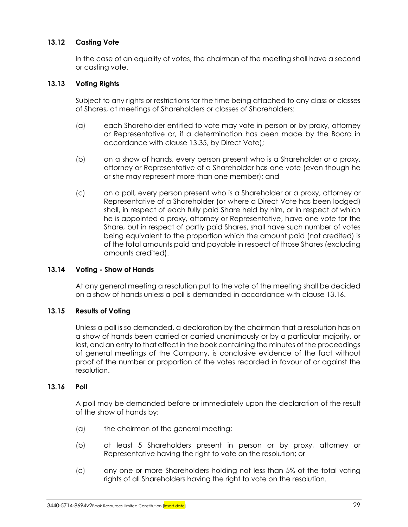# **13.12 Casting Vote**

In the case of an equality of votes, the chairman of the meeting shall have a second or casting vote.

### **13.13 Voting Rights**

Subject to any rights or restrictions for the time being attached to any class or classes of Shares, at meetings of Shareholders or classes of Shareholders:

- (a) each Shareholder entitled to vote may vote in person or by proxy, attorney or Representative or, if a determination has been made by the Board in accordance with clause [13.35,](#page-41-0) by Direct Vote);
- (b) on a show of hands, every person present who is a Shareholder or a proxy, attorney or Representative of a Shareholder has one vote (even though he or she may represent more than one member); and
- (c) on a poll, every person present who is a Shareholder or a proxy, attorney or Representative of a Shareholder (or where a Direct Vote has been lodged) shall, in respect of each fully paid Share held by him, or in respect of which he is appointed a proxy, attorney or Representative, have one vote for the Share, but in respect of partly paid Shares, shall have such number of votes being equivalent to the proportion which the amount paid (not credited) is of the total amounts paid and payable in respect of those Shares (excluding amounts credited).

# **13.14 Voting - Show of Hands**

At any general meeting a resolution put to the vote of the meeting shall be decided on a show of hands unless a poll is demanded in accordance with clause [13.16.](#page-36-0)

# **13.15 Results of Voting**

Unless a poll is so demanded, a declaration by the chairman that a resolution has on a show of hands been carried or carried unanimously or by a particular majority, or lost, and an entry to that effect in the book containing the minutes of the proceedings of general meetings of the Company, is conclusive evidence of the fact without proof of the number or proportion of the votes recorded in favour of or against the resolution.

#### <span id="page-36-0"></span>**13.16 Poll**

A poll may be demanded before or immediately upon the declaration of the result of the show of hands by:

- (a) the chairman of the general meeting;
- (b) at least 5 Shareholders present in person or by proxy, attorney or Representative having the right to vote on the resolution; or
- (c) any one or more Shareholders holding not less than 5% of the total voting rights of all Shareholders having the right to vote on the resolution.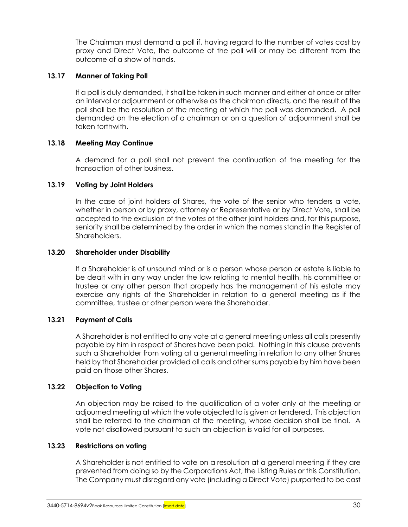The Chairman must demand a poll if, having regard to the number of votes cast by proxy and Direct Vote, the outcome of the poll will or may be different from the outcome of a show of hands.

### **13.17 Manner of Taking Poll**

If a poll is duly demanded, it shall be taken in such manner and either at once or after an interval or adjournment or otherwise as the chairman directs, and the result of the poll shall be the resolution of the meeting at which the poll was demanded. A poll demanded on the election of a chairman or on a question of adjournment shall be taken forthwith.

# **13.18 Meeting May Continue**

A demand for a poll shall not prevent the continuation of the meeting for the transaction of other business.

# **13.19 Voting by Joint Holders**

In the case of joint holders of Shares, the vote of the senior who tenders a vote, whether in person or by proxy, attorney or Representative or by Direct Vote, shall be accepted to the exclusion of the votes of the other joint holders and, for this purpose, seniority shall be determined by the order in which the names stand in the Register of **Shareholders** 

### **13.20 Shareholder under Disability**

If a Shareholder is of unsound mind or is a person whose person or estate is liable to be dealt with in any way under the law relating to mental health, his committee or trustee or any other person that properly has the management of his estate may exercise any rights of the Shareholder in relation to a general meeting as if the committee, trustee or other person were the Shareholder.

# **13.21 Payment of Calls**

A Shareholder is not entitled to any vote at a general meeting unless all calls presently payable by him in respect of Shares have been paid. Nothing in this clause prevents such a Shareholder from voting at a general meeting in relation to any other Shares held by that Shareholder provided all calls and other sums payable by him have been paid on those other Shares.

# **13.22 Objection to Voting**

An objection may be raised to the qualification of a voter only at the meeting or adjourned meeting at which the vote objected to is given or tendered. This objection shall be referred to the chairman of the meeting, whose decision shall be final. A vote not disallowed pursuant to such an objection is valid for all purposes.

#### <span id="page-37-0"></span>**13.23 Restrictions on voting**

A Shareholder is not entitled to vote on a resolution at a general meeting if they are prevented from doing so by the Corporations Act, the Listing Rules or this Constitution. The Company must disregard any vote (including a Direct Vote) purported to be cast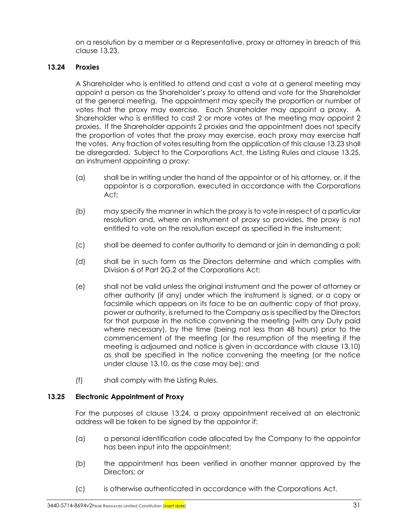on a resolution by a member or a Representative, proxy or attorney in breach of this clause [13.23.](#page-37-0)

# <span id="page-38-1"></span>**13.24 Proxies**

A Shareholder who is entitled to attend and cast a vote at a general meeting may appoint a person as the Shareholder's proxy to attend and vote for the Shareholder at the general meeting. The appointment may specify the proportion or number of votes that the proxy may exercise. Each Shareholder may appoint a proxy. A Shareholder who is entitled to cast 2 or more votes at the meeting may appoint 2 proxies. If the Shareholder appoints 2 proxies and the appointment does not specify the proportion of votes that the proxy may exercise, each proxy may exercise half the votes. Any fraction of votes resulting from the application of this claus[e 13.23](#page-37-0) shall be disregarded. Subject to the Corporations Act, the Listing Rules and clause [13.25,](#page-38-0) an instrument appointing a proxy:

- (a) shall be in writing under the hand of the appointor or of his attorney, or, if the appointor is a corporation, executed in accordance with the Corporations Act;
- (b) may specify the manner in which the proxy is to vote in respect of a particular resolution and, where an instrument of proxy so provides, the proxy is not entitled to vote on the resolution except as specified in the instrument;
- (c) shall be deemed to confer authority to demand or join in demanding a poll;
- (d) shall be in such form as the Directors determine and which complies with Division 6 of Part 2G.2 of the Corporations Act;
- <span id="page-38-2"></span>(e) shall not be valid unless the original instrument and the power of attorney or other authority (if any) under which the instrument is signed, or a copy or facsimile which appears on its face to be an authentic copy of that proxy, power or authority, is returned to the Company as is specified by the Directors for that purpose in the notice convening the meeting (with any Duty paid where necessary), by the time (being not less than 48 hours) prior to the commencement of the meeting (or the resumption of the meeting if the meeting is adjourned and notice is given in accordance with clause [13.10\)](#page-35-0) as shall be specified in the notice convening the meeting (or the notice under clause [13.10,](#page-35-0) as the case may be); and
- (f) shall comply with the Listing Rules.

# <span id="page-38-0"></span>**13.25 Electronic Appointment of Proxy**

For the purposes of clause [13.24,](#page-38-1) a proxy appointment received at an electronic address will be taken to be signed by the appointor if:

- (a) a personal identification code allocated by the Company to the appointor has been input into the appointment;
- (b) the appointment has been verified in another manner approved by the Directors; or
- (c) is otherwise authenticated in accordance with the Corporations Act.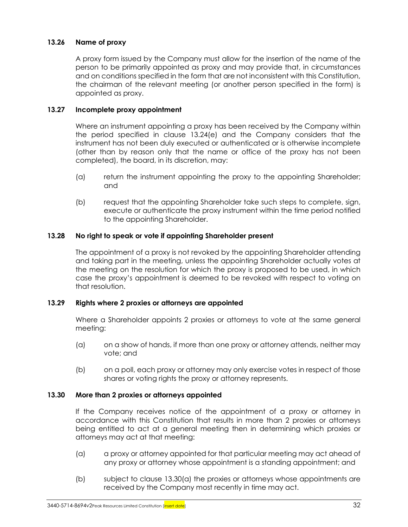# **13.26 Name of proxy**

A proxy form issued by the Company must allow for the insertion of the name of the person to be primarily appointed as proxy and may provide that, in circumstances and on conditions specified in the form that are not inconsistent with this Constitution, the chairman of the relevant meeting (or another person specified in the form) is appointed as proxy.

# **13.27 Incomplete proxy appointment**

Where an instrument appointing a proxy has been received by the Company within the period specified in clause [13.24\(e\)](#page-38-2) and the Company considers that the instrument has not been duly executed or authenticated or is otherwise incomplete (other than by reason only that the name or office of the proxy has not been completed), the board, in its discretion, may:

- (a) return the instrument appointing the proxy to the appointing Shareholder; and
- (b) request that the appointing Shareholder take such steps to complete, sign, execute or authenticate the proxy instrument within the time period notified to the appointing Shareholder.

# **13.28 No right to speak or vote if appointing Shareholder present**

The appointment of a proxy is not revoked by the appointing Shareholder attending and taking part in the meeting, unless the appointing Shareholder actually votes at the meeting on the resolution for which the proxy is proposed to be used, in which case the proxy's appointment is deemed to be revoked with respect to voting on that resolution.

# **13.29 Rights where 2 proxies or attorneys are appointed**

Where a Shareholder appoints 2 proxies or attorneys to vote at the same general meeting:

- (a) on a show of hands, if more than one proxy or attorney attends, neither may vote; and
- (b) on a poll, each proxy or attorney may only exercise votes in respect of those shares or voting rights the proxy or attorney represents.

# **13.30 More than 2 proxies or attorneys appointed**

If the Company receives notice of the appointment of a proxy or attorney in accordance with this Constitution that results in more than 2 proxies or attorneys being entitled to act at a general meeting then in determining which proxies or attorneys may act at that meeting:

- <span id="page-39-0"></span>(a) a proxy or attorney appointed for that particular meeting may act ahead of any proxy or attorney whose appointment is a standing appointment; and
- (b) subject to clause [13.30\(a\)](#page-39-0) the proxies or attorneys whose appointments are received by the Company most recently in time may act.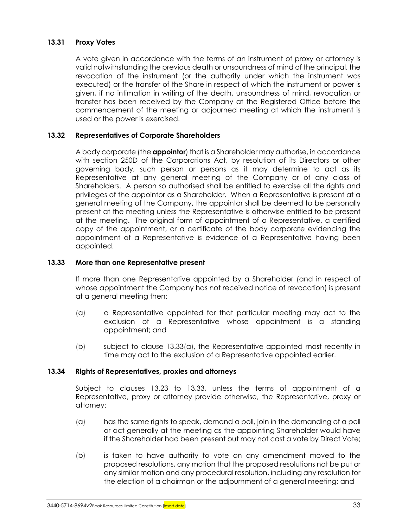# **13.31 Proxy Votes**

A vote given in accordance with the terms of an instrument of proxy or attorney is valid notwithstanding the previous death or unsoundness of mind of the principal, the revocation of the instrument (or the authority under which the instrument was executed) or the transfer of the Share in respect of which the instrument or power is given, if no intimation in writing of the death, unsoundness of mind, revocation or transfer has been received by the Company at the Registered Office before the commencement of the meeting or adjourned meeting at which the instrument is used or the power is exercised.

# <span id="page-40-3"></span>**13.32 Representatives of Corporate Shareholders**

A body corporate (the **appointor**) that is a Shareholder may authorise, in accordance with section 250D of the Corporations Act, by resolution of its Directors or other governing body, such person or persons as it may determine to act as its Representative at any general meeting of the Company or of any class of Shareholders. A person so authorised shall be entitled to exercise all the rights and privileges of the appointor as a Shareholder. When a Representative is present at a general meeting of the Company, the appointor shall be deemed to be personally present at the meeting unless the Representative is otherwise entitled to be present at the meeting. The original form of appointment of a Representative, a certified copy of the appointment, or a certificate of the body corporate evidencing the appointment of a Representative is evidence of a Representative having been appointed.

# <span id="page-40-1"></span>**13.33 More than one Representative present**

If more than one Representative appointed by a Shareholder (and in respect of whose appointment the Company has not received notice of revocation) is present at a general meeting then:

- <span id="page-40-0"></span>(a) a Representative appointed for that particular meeting may act to the exclusion of a Representative whose appointment is a standing appointment; and
- (b) subject to clause [13.33\(a\),](#page-40-0) the Representative appointed most recently in time may act to the exclusion of a Representative appointed earlier.

# <span id="page-40-2"></span>**13.34 Rights of Representatives, proxies and attorneys**

Subject to clauses [13.23](#page-37-0) to [13.33,](#page-40-1) unless the terms of appointment of a Representative, proxy or attorney provide otherwise, the Representative, proxy or attorney:

- (a) has the same rights to speak, demand a poll, join in the demanding of a poll or act generally at the meeting as the appointing Shareholder would have if the Shareholder had been present but may not cast a vote by Direct Vote;
- (b) is taken to have authority to vote on any amendment moved to the proposed resolutions, any motion that the proposed resolutions not be put or any similar motion and any procedural resolution, including any resolution for the election of a chairman or the adjournment of a general meeting; and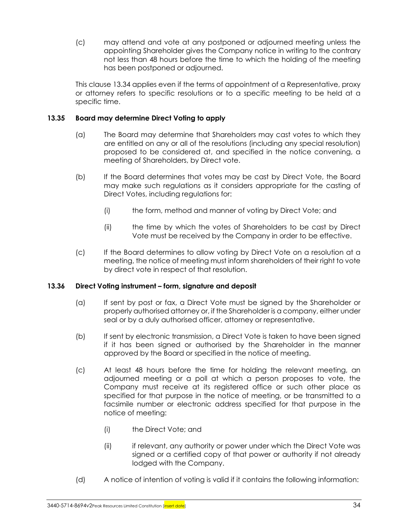(c) may attend and vote at any postponed or adjourned meeting unless the appointing Shareholder gives the Company notice in writing to the contrary not less than 48 hours before the time to which the holding of the meeting has been postponed or adjourned.

This clause [13.34](#page-40-2) applies even if the terms of appointment of a Representative, proxy or attorney refers to specific resolutions or to a specific meeting to be held at a specific time.

# <span id="page-41-0"></span>**13.35 Board may determine Direct Voting to apply**

- (a) The Board may determine that Shareholders may cast votes to which they are entitled on any or all of the resolutions (including any special resolution) proposed to be considered at, and specified in the notice convening, a meeting of Shareholders, by Direct vote.
- (b) If the Board determines that votes may be cast by Direct Vote, the Board may make such regulations as it considers appropriate for the casting of Direct Votes, including regulations for:
	- (i) the form, method and manner of voting by Direct Vote; and
	- (ii) the time by which the votes of Shareholders to be cast by Direct Vote must be received by the Company in order to be effective.
- (c) If the Board determines to allow voting by Direct Vote on a resolution at a meeting, the notice of meeting must inform shareholders of their right to vote by direct vote in respect of that resolution.

# **13.36 Direct Voting instrument – form, signature and deposit**

- (a) If sent by post or fax, a Direct Vote must be signed by the Shareholder or properly authorised attorney or, if the Shareholder is a company, either under seal or by a duly authorised officer, attorney or representative.
- (b) If sent by electronic transmission, a Direct Vote is taken to have been signed if it has been signed or authorised by the Shareholder in the manner approved by the Board or specified in the notice of meeting.
- (c) At least 48 hours before the time for holding the relevant meeting, an adjourned meeting or a poll at which a person proposes to vote, the Company must receive at its registered office or such other place as specified for that purpose in the notice of meeting, or be transmitted to a facsimile number or electronic address specified for that purpose in the notice of meeting:
	- (i) the Direct Vote; and
	- (ii) if relevant, any authority or power under which the Direct Vote was signed or a certified copy of that power or authority if not already lodged with the Company.
- (d) A notice of intention of voting is valid if it contains the following information: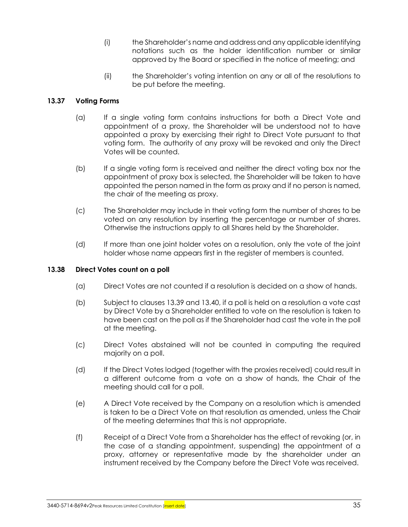- (i) the Shareholder's name and address and any applicable identifying notations such as the holder identification number or similar approved by the Board or specified in the notice of meeting; and
- (ii) the Shareholder's voting intention on any or all of the resolutions to be put before the meeting.

# **13.37 Voting Forms**

- (a) If a single voting form contains instructions for both a Direct Vote and appointment of a proxy, the Shareholder will be understood not to have appointed a proxy by exercising their right to Direct Vote pursuant to that voting form. The authority of any proxy will be revoked and only the Direct Votes will be counted.
- (b) If a single voting form is received and neither the direct voting box nor the appointment of proxy box is selected, the Shareholder will be taken to have appointed the person named in the form as proxy and if no person is named, the chair of the meeting as proxy.
- (c) The Shareholder may include in their voting form the number of shares to be voted on any resolution by inserting the percentage or number of shares. Otherwise the instructions apply to all Shares held by the Shareholder.
- (d) If more than one joint holder votes on a resolution, only the vote of the joint holder whose name appears first in the register of members is counted.

# **13.38 Direct Votes count on a poll**

- (a) Direct Votes are not counted if a resolution is decided on a show of hands.
- (b) Subject to clauses [13.39](#page-43-0) and [13.40,](#page-43-1) if a poll is held on a resolution a vote cast by Direct Vote by a Shareholder entitled to vote on the resolution is taken to have been cast on the poll as if the Shareholder had cast the vote in the poll at the meeting.
- (c) Direct Votes abstained will not be counted in computing the required majority on a poll.
- (d) If the Direct Votes lodged (together with the proxies received) could result in a different outcome from a vote on a show of hands, the Chair of the meeting should call for a poll.
- (e) A Direct Vote received by the Company on a resolution which is amended is taken to be a Direct Vote on that resolution as amended, unless the Chair of the meeting determines that this is not appropriate.
- (f) Receipt of a Direct Vote from a Shareholder has the effect of revoking (or, in the case of a standing appointment, suspending) the appointment of a proxy, attorney or representative made by the shareholder under an instrument received by the Company before the Direct Vote was received.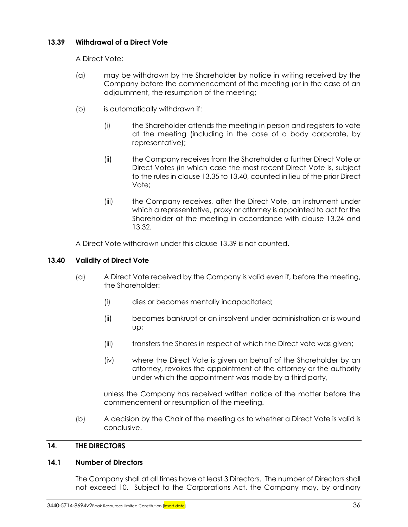# <span id="page-43-0"></span>**13.39 Withdrawal of a Direct Vote**

A Direct Vote:

- (a) may be withdrawn by the Shareholder by notice in writing received by the Company before the commencement of the meeting (or in the case of an adjournment, the resumption of the meeting;
- (b) is automatically withdrawn if:
	- (i) the Shareholder attends the meeting in person and registers to vote at the meeting (including in the case of a body corporate, by representative);
	- (ii) the Company receives from the Shareholder a further Direct Vote or Direct Votes (in which case the most recent Direct Vote is, subject to the rules in clause [13.35](#page-41-0) t[o 13.40,](#page-43-1) counted in lieu of the prior Direct Vote;
	- (iii) the Company receives, after the Direct Vote, an instrument under which a representative, proxy or attorney is appointed to act for the Shareholder at the meeting in accordance with clause [13.24](#page-38-1) and [13.32.](#page-40-3)

A Direct Vote withdrawn under this clause [13.39](#page-43-0) is not counted.

# <span id="page-43-1"></span>**13.40 Validity of Direct Vote**

- (a) A Direct Vote received by the Company is valid even if, before the meeting, the Shareholder:
	- (i) dies or becomes mentally incapacitated;
	- (ii) becomes bankrupt or an insolvent under administration or is wound up;
	- (iii) transfers the Shares in respect of which the Direct vote was given;
	- (iv) where the Direct Vote is given on behalf of the Shareholder by an attorney, revokes the appointment of the attorney or the authority under which the appointment was made by a third party,

unless the Company has received written notice of the matter before the commencement or resumption of the meeting.

(b) A decision by the Chair of the meeting as to whether a Direct Vote is valid is conclusive.

# **14. THE DIRECTORS**

# <span id="page-43-2"></span>**14.1 Number of Directors**

The Company shall at all times have at least 3 Directors. The number of Directors shall not exceed 10. Subject to the Corporations Act, the Company may, by ordinary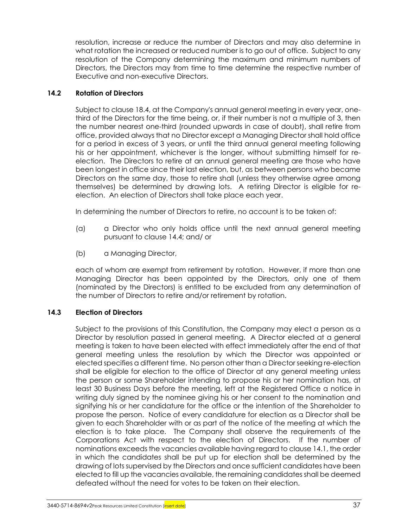resolution, increase or reduce the number of Directors and may also determine in what rotation the increased or reduced number is to go out of office. Subject to any resolution of the Company determining the maximum and minimum numbers of Directors, the Directors may from time to time determine the respective number of Executive and non-executive Directors.

# <span id="page-44-0"></span>**14.2 Rotation of Directors**

Subject to clause [18.4,](#page-54-0) at the Company's annual general meeting in every year, onethird of the Directors for the time being, or, if their number is not a multiple of 3, then the number nearest one-third (rounded upwards in case of doubt), shall retire from office, provided always that no Director except a Managing Director shall hold office for a period in excess of 3 years, or until the third annual general meeting following his or her appointment, whichever is the longer, without submitting himself for reelection. The Directors to retire at an annual general meeting are those who have been longest in office since their last election, but, as between persons who became Directors on the same day, those to retire shall (unless they otherwise agree among themselves) be determined by drawing lots. A retiring Director is eligible for reelection. An election of Directors shall take place each year.

In determining the number of Directors to retire, no account is to be taken of:

- (a) a Director who only holds office until the next annual general meeting pursuant to clause [14.4;](#page-45-0) and/ or
- (b) a Managing Director,

each of whom are exempt from retirement by rotation. However, if more than one Managing Director has been appointed by the Directors, only one of them (nominated by the Directors) is entitled to be excluded from any determination of the number of Directors to retire and/or retirement by rotation.

# **14.3 Election of Directors**

Subject to the provisions of this Constitution, the Company may elect a person as a Director by resolution passed in general meeting. A Director elected at a general meeting is taken to have been elected with effect immediately after the end of that general meeting unless the resolution by which the Director was appointed or elected specifies a different time. No person other than a Director seeking re-election shall be eligible for election to the office of Director at any general meeting unless the person or some Shareholder intending to propose his or her nomination has, at least 30 Business Days before the meeting, left at the Registered Office a notice in writing duly signed by the nominee giving his or her consent to the nomination and signifying his or her candidature for the office or the intention of the Shareholder to propose the person. Notice of every candidature for election as a Director shall be given to each Shareholder with or as part of the notice of the meeting at which the election is to take place. The Company shall observe the requirements of the Corporations Act with respect to the election of Directors. If the number of nominations exceeds the vacancies available having regard to claus[e 14.1,](#page-43-2) the order in which the candidates shall be put up for election shall be determined by the drawing of lots supervised by the Directors and once sufficient candidates have been elected to fill up the vacancies available, the remaining candidates shall be deemed defeated without the need for votes to be taken on their election.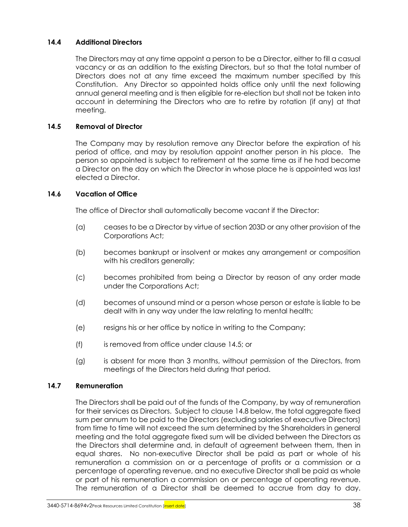# <span id="page-45-0"></span>**14.4 Additional Directors**

The Directors may at any time appoint a person to be a Director, either to fill a casual vacancy or as an addition to the existing Directors, but so that the total number of Directors does not at any time exceed the maximum number specified by this Constitution. Any Director so appointed holds office only until the next following annual general meeting and is then eligible for re-election but shall not be taken into account in determining the Directors who are to retire by rotation (if any) at that meeting.

# <span id="page-45-1"></span>**14.5 Removal of Director**

The Company may by resolution remove any Director before the expiration of his period of office, and may by resolution appoint another person in his place. The person so appointed is subject to retirement at the same time as if he had become a Director on the day on which the Director in whose place he is appointed was last elected a Director.

### **14.6 Vacation of Office**

The office of Director shall automatically become vacant if the Director:

- (a) ceases to be a Director by virtue of section 203D or any other provision of the Corporations Act;
- (b) becomes bankrupt or insolvent or makes any arrangement or composition with his creditors generally;
- (c) becomes prohibited from being a Director by reason of any order made under the Corporations Act;
- (d) becomes of unsound mind or a person whose person or estate is liable to be dealt with in any way under the law relating to mental health;
- (e) resigns his or her office by notice in writing to the Company;
- (f) is removed from office under clause [14.5;](#page-45-1) or
- (g) is absent for more than 3 months, without permission of the Directors, from meetings of the Directors held during that period.

#### <span id="page-45-2"></span>**14.7 Remuneration**

The Directors shall be paid out of the funds of the Company, by way of remuneration for their services as Directors. Subject to claus[e 14.8](#page-46-0) below, the total aggregate fixed sum per annum to be paid to the Directors (excluding salaries of executive Directors) from time to time will not exceed the sum determined by the Shareholders in general meeting and the total aggregate fixed sum will be divided between the Directors as the Directors shall determine and, in default of agreement between them, then in equal shares. No non-executive Director shall be paid as part or whole of his remuneration a commission on or a percentage of profits or a commission or a percentage of operating revenue, and no executive Director shall be paid as whole or part of his remuneration a commission on or percentage of operating revenue. The remuneration of a Director shall be deemed to accrue from day to day.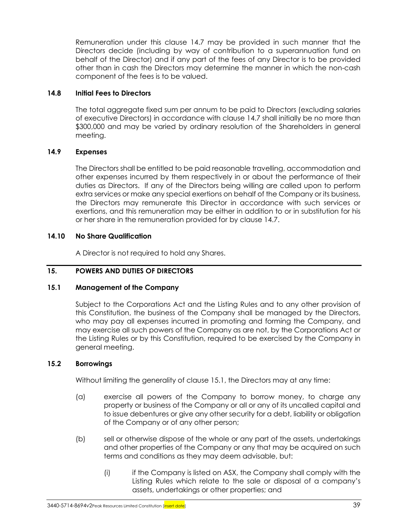Remuneration under this clause [14.7](#page-45-2) may be provided in such manner that the Directors decide (including by way of contribution to a superannuation fund on behalf of the Director) and if any part of the fees of any Director is to be provided other than in cash the Directors may determine the manner in which the non-cash component of the fees is to be valued.

# <span id="page-46-0"></span>**14.8 Initial Fees to Directors**

The total aggregate fixed sum per annum to be paid to Directors (excluding salaries of executive Directors) in accordance with clause [14.7](#page-45-2) shall initially be no more than \$300,000 and may be varied by ordinary resolution of the Shareholders in general meeting.

# **14.9 Expenses**

The Directors shall be entitled to be paid reasonable travelling, accommodation and other expenses incurred by them respectively in or about the performance of their duties as Directors. If any of the Directors being willing are called upon to perform extra services or make any special exertions on behalf of the Company or its business, the Directors may remunerate this Director in accordance with such services or exertions, and this remuneration may be either in addition to or in substitution for his or her share in the remuneration provided for by clause [14.7.](#page-45-2)

# **14.10 No Share Qualification**

A Director is not required to hold any Shares.

# **15. POWERS AND DUTIES OF DIRECTORS**

# <span id="page-46-1"></span>**15.1 Management of the Company**

Subject to the Corporations Act and the Listing Rules and to any other provision of this Constitution, the business of the Company shall be managed by the Directors, who may pay all expenses incurred in promoting and forming the Company, and may exercise all such powers of the Company as are not, by the Corporations Act or the Listing Rules or by this Constitution, required to be exercised by the Company in general meeting.

# **15.2 Borrowings**

Without limiting the generality of clause [15.1,](#page-46-1) the Directors may at any time:

- (a) exercise all powers of the Company to borrow money, to charge any property or business of the Company or all or any of its uncalled capital and to issue debentures or give any other security for a debt, liability or obligation of the Company or of any other person;
- (b) sell or otherwise dispose of the whole or any part of the assets, undertakings and other properties of the Company or any that may be acquired on such terms and conditions as they may deem advisable, but:
	- (i) if the Company is listed on ASX, the Company shall comply with the Listing Rules which relate to the sale or disposal of a company's assets, undertakings or other properties; and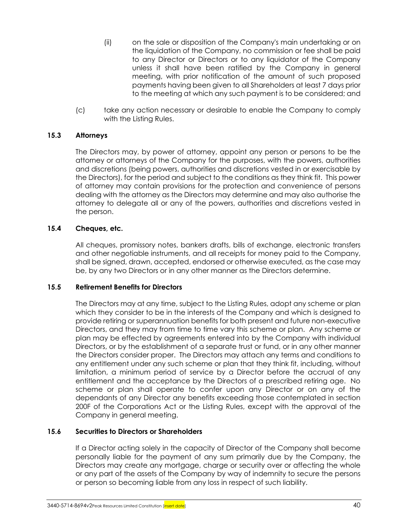- (ii) on the sale or disposition of the Company's main undertaking or on the liquidation of the Company, no commission or fee shall be paid to any Director or Directors or to any liquidator of the Company unless it shall have been ratified by the Company in general meeting, with prior notification of the amount of such proposed payments having been given to all Shareholders at least 7 days prior to the meeting at which any such payment is to be considered; and
- (c) take any action necessary or desirable to enable the Company to comply with the Listing Rules.

# **15.3 Attorneys**

The Directors may, by power of attorney, appoint any person or persons to be the attorney or attorneys of the Company for the purposes, with the powers, authorities and discretions (being powers, authorities and discretions vested in or exercisable by the Directors), for the period and subject to the conditions as they think fit. This power of attorney may contain provisions for the protection and convenience of persons dealing with the attorney as the Directors may determine and may also authorise the attorney to delegate all or any of the powers, authorities and discretions vested in the person.

### **15.4 Cheques, etc.**

All cheques, promissory notes, bankers drafts, bills of exchange, electronic transfers and other negotiable instruments, and all receipts for money paid to the Company, shall be signed, drawn, accepted, endorsed or otherwise executed, as the case may be, by any two Directors or in any other manner as the Directors determine.

#### **15.5 Retirement Benefits for Directors**

The Directors may at any time, subject to the Listing Rules, adopt any scheme or plan which they consider to be in the interests of the Company and which is designed to provide retiring or superannuation benefits for both present and future non-executive Directors, and they may from time to time vary this scheme or plan. Any scheme or plan may be effected by agreements entered into by the Company with individual Directors, or by the establishment of a separate trust or fund, or in any other manner the Directors consider proper. The Directors may attach any terms and conditions to any entitlement under any such scheme or plan that they think fit, including, without limitation, a minimum period of service by a Director before the accrual of any entitlement and the acceptance by the Directors of a prescribed retiring age. No scheme or plan shall operate to confer upon any Director or on any of the dependants of any Director any benefits exceeding those contemplated in section 200F of the Corporations Act or the Listing Rules, except with the approval of the Company in general meeting.

#### **15.6 Securities to Directors or Shareholders**

If a Director acting solely in the capacity of Director of the Company shall become personally liable for the payment of any sum primarily due by the Company, the Directors may create any mortgage, charge or security over or affecting the whole or any part of the assets of the Company by way of indemnity to secure the persons or person so becoming liable from any loss in respect of such liability.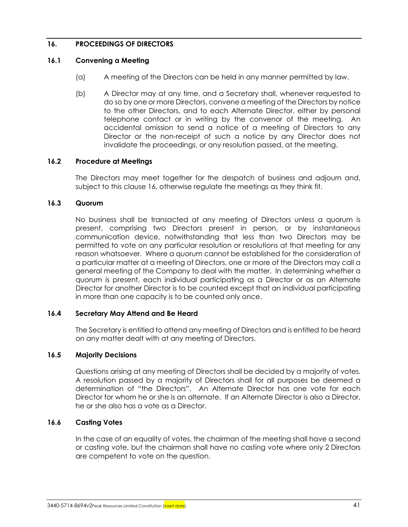# <span id="page-48-0"></span>**16. PROCEEDINGS OF DIRECTORS**

# **16.1 Convening a Meeting**

- (a) A meeting of the Directors can be held in any manner permitted by law.
- (b) A Director may at any time, and a Secretary shall, whenever requested to do so by one or more Directors, convene a meeting of the Directors by notice to the other Directors, and to each Alternate Director, either by personal telephone contact or in writing by the convenor of the meeting. An accidental omission to send a notice of a meeting of Directors to any Director or the non-receipt of such a notice by any Director does not invalidate the proceedings, or any resolution passed, at the meeting.

### **16.2 Procedure at Meetings**

The Directors may meet together for the despatch of business and adjourn and, subject to this clause [16,](#page-48-0) otherwise regulate the meetings as they think fit.

### **16.3 Quorum**

No business shall be transacted at any meeting of Directors unless a quorum is present, comprising two Directors present in person, or by instantaneous communication device, notwithstanding that less than two Directors may be permitted to vote on any particular resolution or resolutions at that meeting for any reason whatsoever. Where a quorum cannot be established for the consideration of a particular matter at a meeting of Directors, one or more of the Directors may call a general meeting of the Company to deal with the matter. In determining whether a quorum is present, each individual participating as a Director or as an Alternate Director for another Director is to be counted except that an individual participating in more than one capacity is to be counted only once.

# **16.4 Secretary May Attend and Be Heard**

The Secretary is entitled to attend any meeting of Directors and is entitled to be heard on any matter dealt with at any meeting of Directors.

# **16.5 Majority Decisions**

Questions arising at any meeting of Directors shall be decided by a majority of votes. A resolution passed by a majority of Directors shall for all purposes be deemed a determination of "the Directors". An Alternate Director has one vote for each Director for whom he or she is an alternate. If an Alternate Director is also a Director, he or she also has a vote as a Director.

# **16.6 Casting Votes**

In the case of an equality of votes, the chairman of the meeting shall have a second or casting vote, but the chairman shall have no casting vote where only 2 Directors are competent to vote on the question.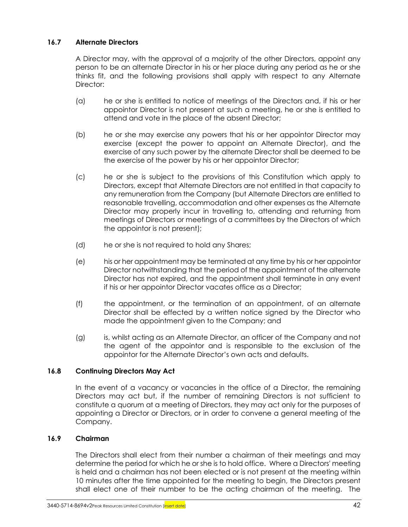# **16.7 Alternate Directors**

A Director may, with the approval of a majority of the other Directors, appoint any person to be an alternate Director in his or her place during any period as he or she thinks fit, and the following provisions shall apply with respect to any Alternate Director:

- (a) he or she is entitled to notice of meetings of the Directors and, if his or her appointor Director is not present at such a meeting, he or she is entitled to attend and vote in the place of the absent Director;
- (b) he or she may exercise any powers that his or her appointor Director may exercise (except the power to appoint an Alternate Director), and the exercise of any such power by the alternate Director shall be deemed to be the exercise of the power by his or her appointor Director;
- (c) he or she is subject to the provisions of this Constitution which apply to Directors, except that Alternate Directors are not entitled in that capacity to any remuneration from the Company (but Alternate Directors are entitled to reasonable travelling, accommodation and other expenses as the Alternate Director may properly incur in travelling to, attending and returning from meetings of Directors or meetings of a committees by the Directors of which the appointor is not present);
- (d) he or she is not required to hold any Shares;
- (e) his or her appointment may be terminated at any time by his or her appointor Director notwithstanding that the period of the appointment of the alternate Director has not expired, and the appointment shall terminate in any event if his or her appointor Director vacates office as a Director;
- (f) the appointment, or the termination of an appointment, of an alternate Director shall be effected by a written notice signed by the Director who made the appointment given to the Company; and
- (g) is, whilst acting as an Alternate Director, an officer of the Company and not the agent of the appointor and is responsible to the exclusion of the appointor for the Alternate Director's own acts and defaults.

# **16.8 Continuing Directors May Act**

In the event of a vacancy or vacancies in the office of a Director, the remaining Directors may act but, if the number of remaining Directors is not sufficient to constitute a quorum at a meeting of Directors, they may act only for the purposes of appointing a Director or Directors, or in order to convene a general meeting of the Company.

# **16.9 Chairman**

The Directors shall elect from their number a chairman of their meetings and may determine the period for which he or she is to hold office. Where a Directors' meeting is held and a chairman has not been elected or is not present at the meeting within 10 minutes after the time appointed for the meeting to begin, the Directors present shall elect one of their number to be the acting chairman of the meeting. The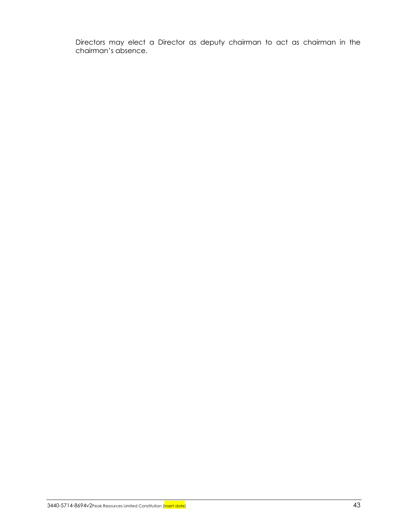Directors may elect a Director as deputy chairman to act as chairman in the chairman's absence.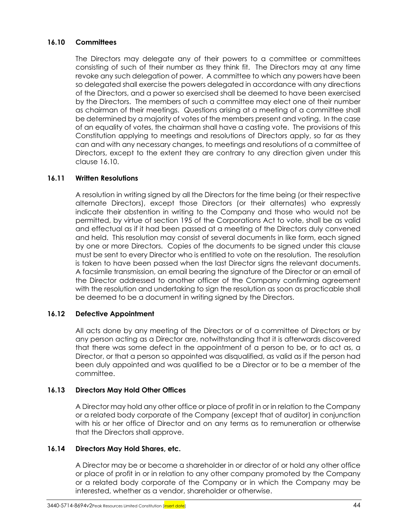# <span id="page-51-0"></span>**16.10 Committees**

The Directors may delegate any of their powers to a committee or committees consisting of such of their number as they think fit. The Directors may at any time revoke any such delegation of power. A committee to which any powers have been so delegated shall exercise the powers delegated in accordance with any directions of the Directors, and a power so exercised shall be deemed to have been exercised by the Directors. The members of such a committee may elect one of their number as chairman of their meetings. Questions arising at a meeting of a committee shall be determined by a majority of votes of the members present and voting. In the case of an equality of votes, the chairman shall have a casting vote. The provisions of this Constitution applying to meetings and resolutions of Directors apply, so far as they can and with any necessary changes, to meetings and resolutions of a committee of Directors, except to the extent they are contrary to any direction given under this clause [16.10.](#page-51-0)

# **16.11 Written Resolutions**

A resolution in writing signed by all the Directors for the time being (or their respective alternate Directors), except those Directors (or their alternates) who expressly indicate their abstention in writing to the Company and those who would not be permitted, by virtue of section 195 of the Corporations Act to vote, shall be as valid and effectual as if it had been passed at a meeting of the Directors duly convened and held. This resolution may consist of several documents in like form, each signed by one or more Directors. Copies of the documents to be signed under this clause must be sent to every Director who is entitled to vote on the resolution. The resolution is taken to have been passed when the last Director signs the relevant documents. A facsimile transmission, an email bearing the signature of the Director or an email of the Director addressed to another officer of the Company confirming agreement with the resolution and undertaking to sign the resolution as soon as practicable shall be deemed to be a document in writing signed by the Directors.

# **16.12 Defective Appointment**

All acts done by any meeting of the Directors or of a committee of Directors or by any person acting as a Director are, notwithstanding that it is afterwards discovered that there was some defect in the appointment of a person to be, or to act as, a Director, or that a person so appointed was disqualified, as valid as if the person had been duly appointed and was qualified to be a Director or to be a member of the committee.

# **16.13 Directors May Hold Other Offices**

A Director may hold any other office or place of profit in or in relation to the Company or a related body corporate of the Company (except that of auditor) in conjunction with his or her office of Director and on any terms as to remuneration or otherwise that the Directors shall approve.

# <span id="page-51-1"></span>**16.14 Directors May Hold Shares, etc.**

A Director may be or become a shareholder in or director of or hold any other office or place of profit in or in relation to any other company promoted by the Company or a related body corporate of the Company or in which the Company may be interested, whether as a vendor, shareholder or otherwise.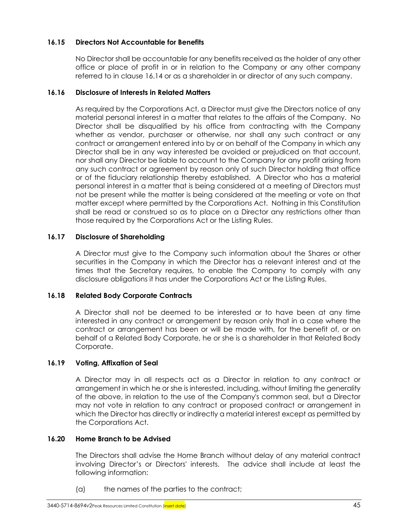# **16.15 Directors Not Accountable for Benefits**

No Director shall be accountable for any benefits received as the holder of any other office or place of profit in or in relation to the Company or any other company referred to in clause [16.14](#page-51-1) or as a shareholder in or director of any such company.

# **16.16 Disclosure of Interests in Related Matters**

As required by the Corporations Act, a Director must give the Directors notice of any material personal interest in a matter that relates to the affairs of the Company. No Director shall be disqualified by his office from contracting with the Company whether as vendor, purchaser or otherwise, nor shall any such contract or any contract or arrangement entered into by or on behalf of the Company in which any Director shall be in any way interested be avoided or prejudiced on that account, nor shall any Director be liable to account to the Company for any profit arising from any such contract or agreement by reason only of such Director holding that office or of the fiduciary relationship thereby established. A Director who has a material personal interest in a matter that is being considered at a meeting of Directors must not be present while the matter is being considered at the meeting or vote on that matter except where permitted by the Corporations Act. Nothing in this Constitution shall be read or construed so as to place on a Director any restrictions other than those required by the Corporations Act or the Listing Rules.

# **16.17 Disclosure of Shareholding**

A Director must give to the Company such information about the Shares or other securities in the Company in which the Director has a relevant interest and at the times that the Secretary requires, to enable the Company to comply with any disclosure obligations it has under the Corporations Act or the Listing Rules.

# **16.18 Related Body Corporate Contracts**

A Director shall not be deemed to be interested or to have been at any time interested in any contract or arrangement by reason only that in a case where the contract or arrangement has been or will be made with, for the benefit of, or on behalf of a Related Body Corporate, he or she is a shareholder in that Related Body Corporate.

# **16.19 Voting, Affixation of Seal**

A Director may in all respects act as a Director in relation to any contract or arrangement in which he or she is interested, including, without limiting the generality of the above, in relation to the use of the Company's common seal, but a Director may not vote in relation to any contract or proposed contract or arrangement in which the Director has directly or indirectly a material interest except as permitted by the Corporations Act.

# **16.20 Home Branch to be Advised**

The Directors shall advise the Home Branch without delay of any material contract involving Director's or Directors' interests. The advice shall include at least the following information:

(a) the names of the parties to the contract;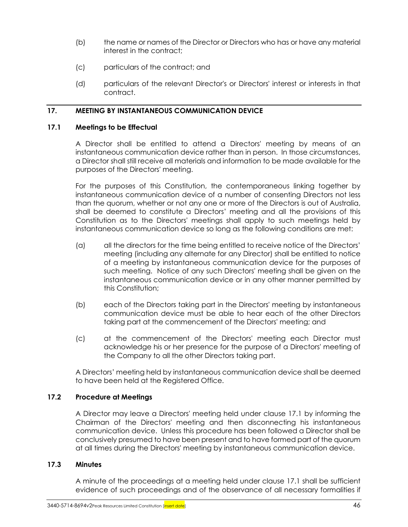- (b) the name or names of the Director or Directors who has or have any material interest in the contract;
- (c) particulars of the contract; and
- (d) particulars of the relevant Director's or Directors' interest or interests in that contract.

# **17. MEETING BY INSTANTANEOUS COMMUNICATION DEVICE**

# <span id="page-53-0"></span>**17.1 Meetings to be Effectual**

A Director shall be entitled to attend a Directors' meeting by means of an instantaneous communication device rather than in person. In those circumstances, a Director shall still receive all materials and information to be made available for the purposes of the Directors' meeting.

For the purposes of this Constitution, the contemporaneous linking together by instantaneous communication device of a number of consenting Directors not less than the quorum, whether or not any one or more of the Directors is out of Australia, shall be deemed to constitute a Directors' meeting and all the provisions of this Constitution as to the Directors' meetings shall apply to such meetings held by instantaneous communication device so long as the following conditions are met:

- (a) all the directors for the time being entitled to receive notice of the Directors' meeting (including any alternate for any Director) shall be entitled to notice of a meeting by instantaneous communication device for the purposes of such meeting. Notice of any such Directors' meeting shall be given on the instantaneous communication device or in any other manner permitted by this Constitution;
- (b) each of the Directors taking part in the Directors' meeting by instantaneous communication device must be able to hear each of the other Directors taking part at the commencement of the Directors' meeting; and
- (c) at the commencement of the Directors' meeting each Director must acknowledge his or her presence for the purpose of a Directors' meeting of the Company to all the other Directors taking part.

A Directors' meeting held by instantaneous communication device shall be deemed to have been held at the Registered Office.

# **17.2 Procedure at Meetings**

A Director may leave a Directors' meeting held under clause [17.1](#page-53-0) by informing the Chairman of the Directors' meeting and then disconnecting his instantaneous communication device. Unless this procedure has been followed a Director shall be conclusively presumed to have been present and to have formed part of the quorum at all times during the Directors' meeting by instantaneous communication device.

# **17.3 Minutes**

A minute of the proceedings at a meeting held under clause [17.1](#page-53-0) shall be sufficient evidence of such proceedings and of the observance of all necessary formalities if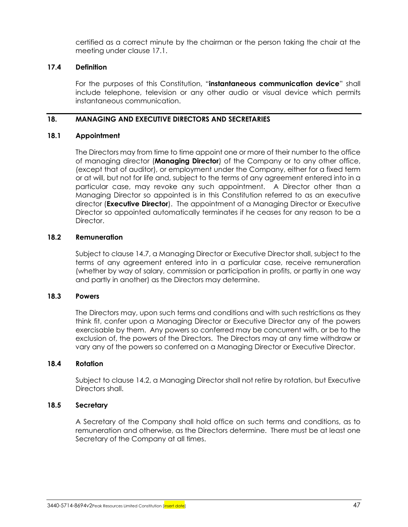certified as a correct minute by the chairman or the person taking the chair at the meeting under clause [17.1.](#page-53-0)

# **17.4 Definition**

For the purposes of this Constitution, "**instantaneous communication device**" shall include telephone, television or any other audio or visual device which permits instantaneous communication.

# **18. MANAGING AND EXECUTIVE DIRECTORS AND SECRETARIES**

# **18.1 Appointment**

The Directors may from time to time appoint one or more of their number to the office of managing director (**Managing Director**) of the Company or to any other office, (except that of auditor), or employment under the Company, either for a fixed term or at will, but not for life and, subject to the terms of any agreement entered into in a particular case, may revoke any such appointment. A Director other than a Managing Director so appointed is in this Constitution referred to as an executive director (**Executive Director**). The appointment of a Managing Director or Executive Director so appointed automatically terminates if he ceases for any reason to be a Director.

# **18.2 Remuneration**

Subject to clause [14.7,](#page-45-2) a Managing Director or Executive Director shall, subject to the terms of any agreement entered into in a particular case, receive remuneration (whether by way of salary, commission or participation in profits, or partly in one way and partly in another) as the Directors may determine.

# **18.3 Powers**

The Directors may, upon such terms and conditions and with such restrictions as they think fit, confer upon a Managing Director or Executive Director any of the powers exercisable by them. Any powers so conferred may be concurrent with, or be to the exclusion of, the powers of the Directors. The Directors may at any time withdraw or vary any of the powers so conferred on a Managing Director or Executive Director.

# <span id="page-54-0"></span>**18.4 Rotation**

Subject to claus[e 14.2,](#page-44-0) a Managing Director shall not retire by rotation, but Executive Directors shall.

# **18.5 Secretary**

A Secretary of the Company shall hold office on such terms and conditions, as to remuneration and otherwise, as the Directors determine. There must be at least one Secretary of the Company at all times.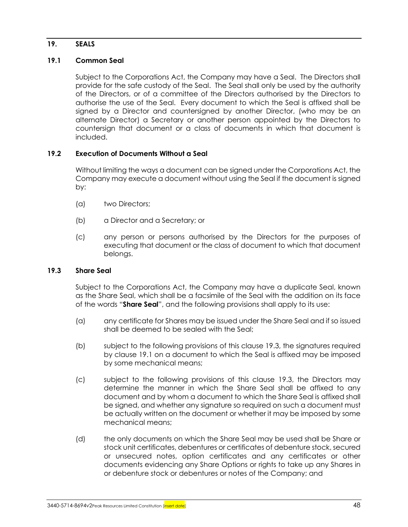# **19. SEALS**

# <span id="page-55-1"></span>**19.1 Common Seal**

Subject to the Corporations Act, the Company may have a Seal. The Directors shall provide for the safe custody of the Seal. The Seal shall only be used by the authority of the Directors, or of a committee of the Directors authorised by the Directors to authorise the use of the Seal. Every document to which the Seal is affixed shall be signed by a Director and countersigned by another Director, (who may be an alternate Director) a Secretary or another person appointed by the Directors to countersign that document or a class of documents in which that document is included.

# **19.2 Execution of Documents Without a Seal**

Without limiting the ways a document can be signed under the Corporations Act, the Company may execute a document without using the Seal if the document is signed by:

- (a) two Directors;
- (b) a Director and a Secretary; or
- (c) any person or persons authorised by the Directors for the purposes of executing that document or the class of document to which that document belongs.

# <span id="page-55-0"></span>**19.3 Share Seal**

Subject to the Corporations Act, the Company may have a duplicate Seal, known as the Share Seal, which shall be a facsimile of the Seal with the addition on its face of the words "**Share Seal**", and the following provisions shall apply to its use:

- (a) any certificate for Shares may be issued under the Share Seal and if so issued shall be deemed to be sealed with the Seal;
- (b) subject to the following provisions of this clause [19.3,](#page-55-0) the signatures required by clause [19.1](#page-55-1) on a document to which the Seal is affixed may be imposed by some mechanical means;
- (c) subject to the following provisions of this clause [19.3,](#page-55-0) the Directors may determine the manner in which the Share Seal shall be affixed to any document and by whom a document to which the Share Seal is affixed shall be signed, and whether any signature so required on such a document must be actually written on the document or whether it may be imposed by some mechanical means;
- <span id="page-55-2"></span>(d) the only documents on which the Share Seal may be used shall be Share or stock unit certificates, debentures or certificates of debenture stock, secured or unsecured notes, option certificates and any certificates or other documents evidencing any Share Options or rights to take up any Shares in or debenture stock or debentures or notes of the Company; and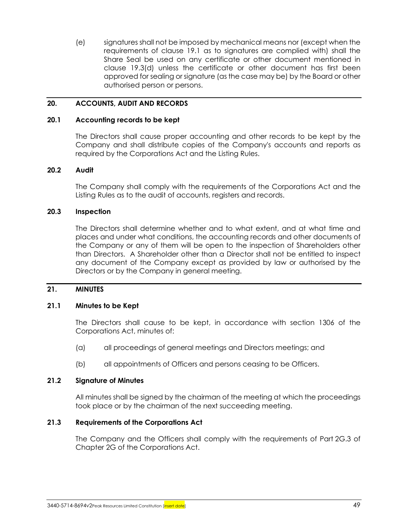(e) signatures shall not be imposed by mechanical means nor (except when the requirements of clause [19.1](#page-55-1) as to signatures are complied with) shall the Share Seal be used on any certificate or other document mentioned in clause [19.3\(d\)](#page-55-2) unless the certificate or other document has first been approved for sealing or signature (as the case may be) by the Board or other authorised person or persons.

### **20. ACCOUNTS, AUDIT AND RECORDS**

#### **20.1 Accounting records to be kept**

The Directors shall cause proper accounting and other records to be kept by the Company and shall distribute copies of the Company's accounts and reports as required by the Corporations Act and the Listing Rules.

#### **20.2 Audit**

The Company shall comply with the requirements of the Corporations Act and the Listing Rules as to the audit of accounts, registers and records.

#### **20.3 Inspection**

The Directors shall determine whether and to what extent, and at what time and places and under what conditions, the accounting records and other documents of the Company or any of them will be open to the inspection of Shareholders other than Directors. A Shareholder other than a Director shall not be entitled to inspect any document of the Company except as provided by law or authorised by the Directors or by the Company in general meeting.

#### **21. MINUTES**

#### **21.1 Minutes to be Kept**

The Directors shall cause to be kept, in accordance with section 1306 of the Corporations Act, minutes of:

- (a) all proceedings of general meetings and Directors meetings; and
- (b) all appointments of Officers and persons ceasing to be Officers.

#### **21.2 Signature of Minutes**

All minutes shall be signed by the chairman of the meeting at which the proceedings took place or by the chairman of the next succeeding meeting.

#### **21.3 Requirements of the Corporations Act**

The Company and the Officers shall comply with the requirements of Part 2G.3 of Chapter 2G of the Corporations Act.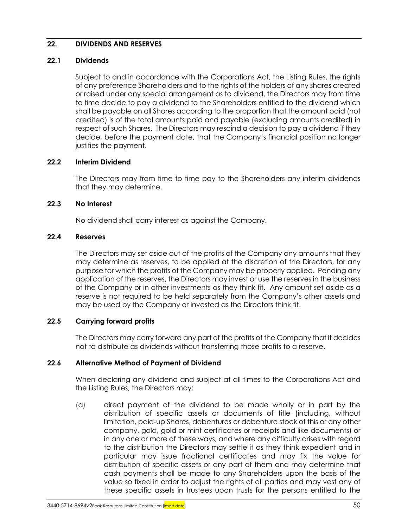# <span id="page-57-0"></span>**22. DIVIDENDS AND RESERVES**

### **22.1 Dividends**

Subject to and in accordance with the Corporations Act, the Listing Rules, the rights of any preference Shareholders and to the rights of the holders of any shares created or raised under any special arrangement as to dividend, the Directors may from time to time decide to pay a dividend to the Shareholders entitled to the dividend which shall be payable on all Shares according to the proportion that the amount paid (not credited) is of the total amounts paid and payable (excluding amounts credited) in respect of such Shares. The Directors may rescind a decision to pay a dividend if they decide, before the payment date, that the Company's financial position no longer justifies the payment.

# **22.2 Interim Dividend**

The Directors may from time to time pay to the Shareholders any interim dividends that they may determine.

# **22.3 No Interest**

No dividend shall carry interest as against the Company.

### **22.4 Reserves**

The Directors may set aside out of the profits of the Company any amounts that they may determine as reserves, to be applied at the discretion of the Directors, for any purpose for which the profits of the Company may be properly applied. Pending any application of the reserves, the Directors may invest or use the reserves in the business of the Company or in other investments as they think fit. Any amount set aside as a reserve is not required to be held separately from the Company's other assets and may be used by the Company or invested as the Directors think fit.

# **22.5 Carrying forward profits**

The Directors may carry forward any part of the profits of the Company that it decides not to distribute as dividends without transferring those profits to a reserve.

# **22.6 Alternative Method of Payment of Dividend**

When declaring any dividend and subject at all times to the Corporations Act and the Listing Rules, the Directors may:

(a) direct payment of the dividend to be made wholly or in part by the distribution of specific assets or documents of title (including, without limitation, paid-up Shares, debentures or debenture stock of this or any other company, gold, gold or mint certificates or receipts and like documents) or in any one or more of these ways, and where any difficulty arises with regard to the distribution the Directors may settle it as they think expedient and in particular may issue fractional certificates and may fix the value for distribution of specific assets or any part of them and may determine that cash payments shall be made to any Shareholders upon the basis of the value so fixed in order to adjust the rights of all parties and may vest any of these specific assets in trustees upon trusts for the persons entitled to the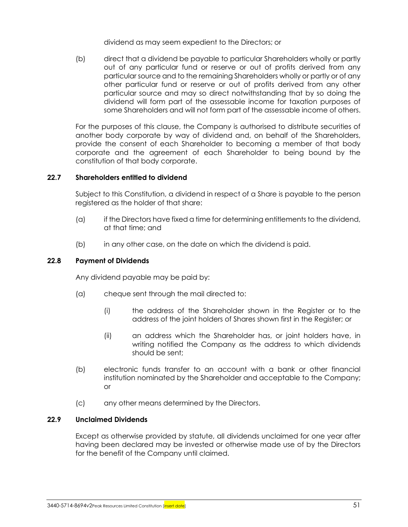dividend as may seem expedient to the Directors; or

(b) direct that a dividend be payable to particular Shareholders wholly or partly out of any particular fund or reserve or out of profits derived from any particular source and to the remaining Shareholders wholly or partly or of any other particular fund or reserve or out of profits derived from any other particular source and may so direct notwithstanding that by so doing the dividend will form part of the assessable income for taxation purposes of some Shareholders and will not form part of the assessable income of others.

For the purposes of this clause, the Company is authorised to distribute securities of another body corporate by way of dividend and, on behalf of the Shareholders, provide the consent of each Shareholder to becoming a member of that body corporate and the agreement of each Shareholder to being bound by the constitution of that body corporate.

# **22.7 Shareholders entitled to dividend**

Subject to this Constitution, a dividend in respect of a Share is payable to the person registered as the holder of that share:

- (a) if the Directors have fixed a time for determining entitlements to the dividend, at that time; and
- (b) in any other case, on the date on which the dividend is paid.

### **22.8 Payment of Dividends**

Any dividend payable may be paid by:

- (a) cheque sent through the mail directed to:
	- (i) the address of the Shareholder shown in the Register or to the address of the joint holders of Shares shown first in the Register; or
	- (ii) an address which the Shareholder has, or joint holders have, in writing notified the Company as the address to which dividends should be sent;
- (b) electronic funds transfer to an account with a bank or other financial institution nominated by the Shareholder and acceptable to the Company; or
- (c) any other means determined by the Directors.

#### **22.9 Unclaimed Dividends**

Except as otherwise provided by statute, all dividends unclaimed for one year after having been declared may be invested or otherwise made use of by the Directors for the benefit of the Company until claimed.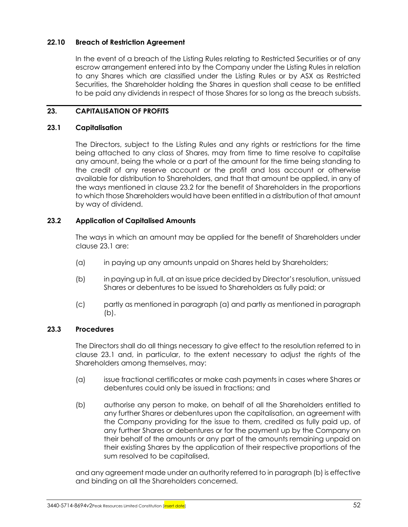# **22.10 Breach of Restriction Agreement**

In the event of a breach of the Listing Rules relating to Restricted Securities or of any escrow arrangement entered into by the Company under the Listing Rules in relation to any Shares which are classified under the Listing Rules or by ASX as Restricted Securities, the Shareholder holding the Shares in question shall cease to be entitled to be paid any dividends in respect of those Shares for so long as the breach subsists.

# **23. CAPITALISATION OF PROFITS**

### <span id="page-59-1"></span>**23.1 Capitalisation**

The Directors, subject to the Listing Rules and any rights or restrictions for the time being attached to any class of Shares, may from time to time resolve to capitalise any amount, being the whole or a part of the amount for the time being standing to the credit of any reserve account or the profit and loss account or otherwise available for distribution to Shareholders, and that that amount be applied, in any of the ways mentioned in clause [23.2](#page-59-0) for the benefit of Shareholders in the proportions to which those Shareholders would have been entitled in a distribution of that amount by way of dividend.

# <span id="page-59-0"></span>**23.2 Application of Capitalised Amounts**

The ways in which an amount may be applied for the benefit of Shareholders under claus[e 23.1](#page-59-1) are:

- <span id="page-59-2"></span>(a) in paying up any amounts unpaid on Shares held by Shareholders;
- <span id="page-59-3"></span>(b) in paying up in full, at an issue price decided by Director's resolution, unissued Shares or debentures to be issued to Shareholders as fully paid; or
- (c) partly as mentioned in paragraph [\(a\)](#page-59-2) and partly as mentioned in paragraph [\(b\).](#page-59-3)

# **23.3 Procedures**

The Directors shall do all things necessary to give effect to the resolution referred to in clause [23.1](#page-59-1) and, in particular, to the extent necessary to adjust the rights of the Shareholders among themselves, may:

- (a) issue fractional certificates or make cash payments in cases where Shares or debentures could only be issued in fractions; and
- <span id="page-59-4"></span>(b) authorise any person to make, on behalf of all the Shareholders entitled to any further Shares or debentures upon the capitalisation, an agreement with the Company providing for the issue to them, credited as fully paid up, of any further Shares or debentures or for the payment up by the Company on their behalf of the amounts or any part of the amounts remaining unpaid on their existing Shares by the application of their respective proportions of the sum resolved to be capitalised,

and any agreement made under an authority referred to in paragrap[h \(b\)](#page-59-4) is effective and binding on all the Shareholders concerned.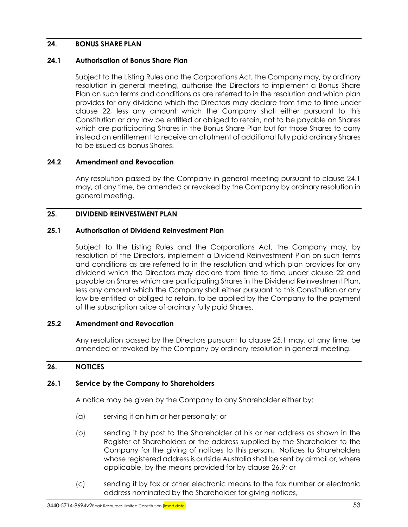# **24. BONUS SHARE PLAN**

### <span id="page-60-0"></span>**24.1 Authorisation of Bonus Share Plan**

Subject to the Listing Rules and the Corporations Act, the Company may, by ordinary resolution in general meeting, authorise the Directors to implement a Bonus Share Plan on such terms and conditions as are referred to in the resolution and which plan provides for any dividend which the Directors may declare from time to time under clause [22,](#page-57-0) less any amount which the Company shall either pursuant to this Constitution or any law be entitled or obliged to retain, not to be payable on Shares which are participating Shares in the Bonus Share Plan but for those Shares to carry instead an entitlement to receive an allotment of additional fully paid ordinary Shares to be issued as bonus Shares.

### **24.2 Amendment and Revocation**

Any resolution passed by the Company in general meeting pursuant to clause [24.1](#page-60-0) may, at any time, be amended or revoked by the Company by ordinary resolution in general meeting.

# **25. DIVIDEND REINVESTMENT PLAN**

### <span id="page-60-1"></span>**25.1 Authorisation of Dividend Reinvestment Plan**

Subject to the Listing Rules and the Corporations Act, the Company may, by resolution of the Directors, implement a Dividend Reinvestment Plan on such terms and conditions as are referred to in the resolution and which plan provides for any dividend which the Directors may declare from time to time under clause [22](#page-57-0) and payable on Shares which are participating Shares in the Dividend Reinvestment Plan, less any amount which the Company shall either pursuant to this Constitution or any law be entitled or obliged to retain, to be applied by the Company to the payment of the subscription price of ordinary fully paid Shares.

#### **25.2 Amendment and Revocation**

Any resolution passed by the Directors pursuant to clause [25.1](#page-60-1) may, at any time, be amended or revoked by the Company by ordinary resolution in general meeting.

# **26. NOTICES**

#### **26.1 Service by the Company to Shareholders**

A notice may be given by the Company to any Shareholder either by:

- (a) serving it on him or her personally; or
- (b) sending it by post to the Shareholder at his or her address as shown in the Register of Shareholders or the address supplied by the Shareholder to the Company for the giving of notices to this person. Notices to Shareholders whose registered address is outside Australia shall be sent by airmail or, where applicable, by the means provided for by clause [26.9;](#page-62-0) or
- (c) sending it by fax or other electronic means to the fax number or electronic address nominated by the Shareholder for giving notices,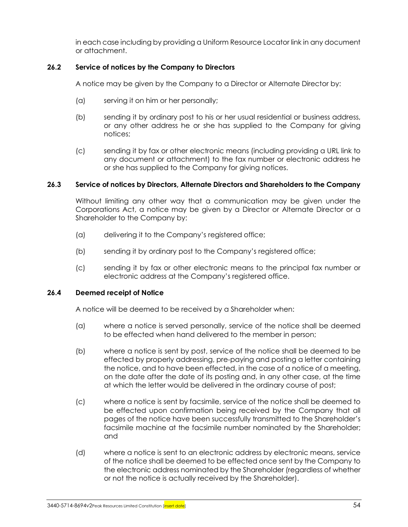in each case including by providing a Uniform Resource Locator link in any document or attachment.

# **26.2 Service of notices by the Company to Directors**

A notice may be given by the Company to a Director or Alternate Director by:

- (a) serving it on him or her personally;
- (b) sending it by ordinary post to his or her usual residential or business address, or any other address he or she has supplied to the Company for giving notices;
- (c) sending it by fax or other electronic means (including providing a URL link to any document or attachment) to the fax number or electronic address he or she has supplied to the Company for giving notices.

# **26.3 Service of notices by Directors, Alternate Directors and Shareholders to the Company**

Without limiting any other way that a communication may be given under the Corporations Act, a notice may be given by a Director or Alternate Director or a Shareholder to the Company by:

- (a) delivering it to the Company's registered office;
- (b) sending it by ordinary post to the Company's registered office;
- (c) sending it by fax or other electronic means to the principal fax number or electronic address at the Company's registered office.

# **26.4 Deemed receipt of Notice**

A notice will be deemed to be received by a Shareholder when:

- (a) where a notice is served personally, service of the notice shall be deemed to be effected when hand delivered to the member in person;
- (b) where a notice is sent by post, service of the notice shall be deemed to be effected by properly addressing, pre-paying and posting a letter containing the notice, and to have been effected, in the case of a notice of a meeting, on the date after the date of its posting and, in any other case, at the time at which the letter would be delivered in the ordinary course of post;
- (c) where a notice is sent by facsimile, service of the notice shall be deemed to be effected upon confirmation being received by the Company that all pages of the notice have been successfully transmitted to the Shareholder's facsimile machine at the facsimile number nominated by the Shareholder; and
- (d) where a notice is sent to an electronic address by electronic means, service of the notice shall be deemed to be effected once sent by the Company to the electronic address nominated by the Shareholder (regardless of whether or not the notice is actually received by the Shareholder).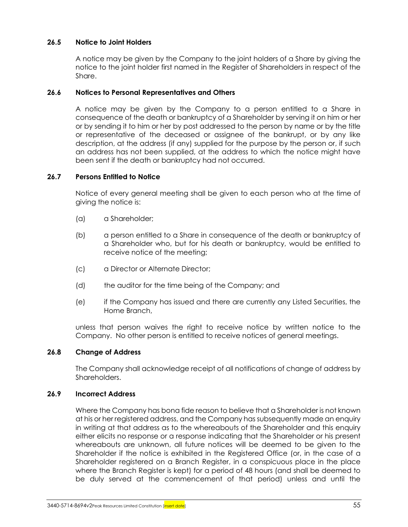# **26.5 Notice to Joint Holders**

A notice may be given by the Company to the joint holders of a Share by giving the notice to the joint holder first named in the Register of Shareholders in respect of the Share.

# **26.6 Notices to Personal Representatives and Others**

A notice may be given by the Company to a person entitled to a Share in consequence of the death or bankruptcy of a Shareholder by serving it on him or her or by sending it to him or her by post addressed to the person by name or by the title or representative of the deceased or assignee of the bankrupt, or by any like description, at the address (if any) supplied for the purpose by the person or, if such an address has not been supplied, at the address to which the notice might have been sent if the death or bankruptcy had not occurred.

# **26.7 Persons Entitled to Notice**

Notice of every general meeting shall be given to each person who at the time of giving the notice is:

- (a) a Shareholder;
- (b) a person entitled to a Share in consequence of the death or bankruptcy of a Shareholder who, but for his death or bankruptcy, would be entitled to receive notice of the meeting;
- (c) a Director or Alternate Director;
- (d) the auditor for the time being of the Company; and
- (e) if the Company has issued and there are currently any Listed Securities, the Home Branch,

unless that person waives the right to receive notice by written notice to the Company. No other person is entitled to receive notices of general meetings.

#### **26.8 Change of Address**

The Company shall acknowledge receipt of all notifications of change of address by Shareholders.

# <span id="page-62-0"></span>**26.9 Incorrect Address**

Where the Company has bona fide reason to believe that a Shareholder is not known at his or her registered address, and the Company has subsequently made an enquiry in writing at that address as to the whereabouts of the Shareholder and this enquiry either elicits no response or a response indicating that the Shareholder or his present whereabouts are unknown, all future notices will be deemed to be given to the Shareholder if the notice is exhibited in the Registered Office (or, in the case of a Shareholder registered on a Branch Register, in a conspicuous place in the place where the Branch Register is kept) for a period of 48 hours (and shall be deemed to be duly served at the commencement of that period) unless and until the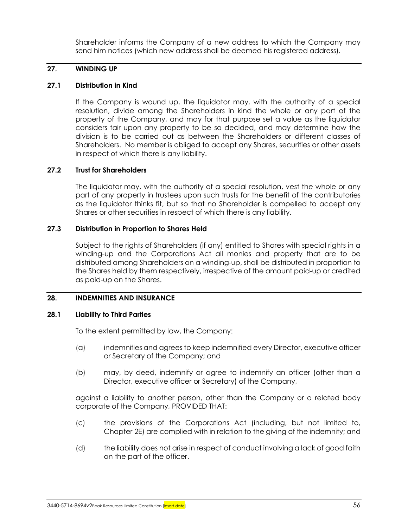Shareholder informs the Company of a new address to which the Company may send him notices (which new address shall be deemed his registered address).

# **27. WINDING UP**

# **27.1 Distribution in Kind**

If the Company is wound up, the liquidator may, with the authority of a special resolution, divide among the Shareholders in kind the whole or any part of the property of the Company, and may for that purpose set a value as the liquidator considers fair upon any property to be so decided, and may determine how the division is to be carried out as between the Shareholders or different classes of Shareholders. No member is obliged to accept any Shares, securities or other assets in respect of which there is any liability.

# **27.2 Trust for Shareholders**

The liquidator may, with the authority of a special resolution, vest the whole or any part of any property in trustees upon such trusts for the benefit of the contributories as the liquidator thinks fit, but so that no Shareholder is compelled to accept any Shares or other securities in respect of which there is any liability.

# **27.3 Distribution in Proportion to Shares Held**

Subject to the rights of Shareholders (if any) entitled to Shares with special rights in a winding-up and the Corporations Act all monies and property that are to be distributed among Shareholders on a winding-up, shall be distributed in proportion to the Shares held by them respectively, irrespective of the amount paid-up or credited as paid-up on the Shares.

# <span id="page-63-0"></span>**28. INDEMNITIES AND INSURANCE**

# **28.1 Liability to Third Parties**

To the extent permitted by law, the Company:

- (a) indemnifies and agrees to keep indemnified every Director, executive officer or Secretary of the Company; and
- (b) may, by deed, indemnify or agree to indemnify an officer (other than a Director, executive officer or Secretary) of the Company,

against a liability to another person, other than the Company or a related body corporate of the Company, PROVIDED THAT:

- (c) the provisions of the Corporations Act (including, but not limited to, Chapter 2E) are complied with in relation to the giving of the indemnity; and
- (d) the liability does not arise in respect of conduct involving a lack of good faith on the part of the officer.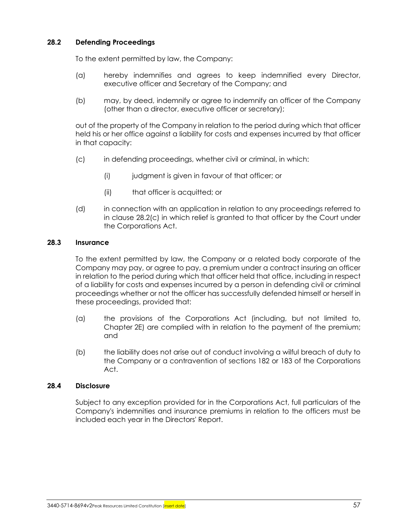# **28.2 Defending Proceedings**

To the extent permitted by law, the Company:

- (a) hereby indemnifies and agrees to keep indemnified every Director, executive officer and Secretary of the Company; and
- (b) may, by deed, indemnify or agree to indemnify an officer of the Company (other than a director, executive officer or secretary);

out of the property of the Company in relation to the period during which that officer held his or her office against a liability for costs and expenses incurred by that officer in that capacity:

- <span id="page-64-0"></span>(c) in defending proceedings, whether civil or criminal, in which:
	- (i) judgment is given in favour of that officer; or
	- (ii) that officer is acquitted; or
- (d) in connection with an application in relation to any proceedings referred to in clause [28.2\(c\)](#page-64-0) in which relief is granted to that officer by the Court under the Corporations Act.

# **28.3 Insurance**

To the extent permitted by law, the Company or a related body corporate of the Company may pay, or agree to pay, a premium under a contract insuring an officer in relation to the period during which that officer held that office, including in respect of a liability for costs and expenses incurred by a person in defending civil or criminal proceedings whether or not the officer has successfully defended himself or herself in these proceedings, provided that:

- (a) the provisions of the Corporations Act (including, but not limited to, Chapter 2E) are complied with in relation to the payment of the premium; and
- (b) the liability does not arise out of conduct involving a wilful breach of duty to the Company or a contravention of sections 182 or 183 of the Corporations Act.

# **28.4 Disclosure**

Subject to any exception provided for in the Corporations Act, full particulars of the Company's indemnities and insurance premiums in relation to the officers must be included each year in the Directors' Report.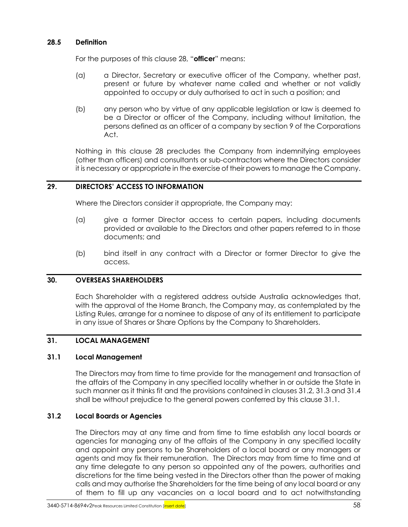### **28.5 Definition**

For the purposes of this clause [28,](#page-63-0) "**officer**" means:

- (a) a Director, Secretary or executive officer of the Company, whether past, present or future by whatever name called and whether or not validly appointed to occupy or duly authorised to act in such a position; and
- (b) any person who by virtue of any applicable legislation or law is deemed to be a Director or officer of the Company, including without limitation, the persons defined as an officer of a company by section 9 of the Corporations Act.

Nothing in this clause [28](#page-63-0) precludes the Company from indemnifying employees (other than officers) and consultants or sub-contractors where the Directors consider it is necessary or appropriate in the exercise of their powers to manage the Company.

# **29. DIRECTORS' ACCESS TO INFORMATION**

Where the Directors consider it appropriate, the Company may:

- (a) give a former Director access to certain papers, including documents provided or available to the Directors and other papers referred to in those documents; and
- (b) bind itself in any contract with a Director or former Director to give the access.

#### **30. OVERSEAS SHAREHOLDERS**

Each Shareholder with a registered address outside Australia acknowledges that, with the approval of the Home Branch, the Company may, as contemplated by the Listing Rules, arrange for a nominee to dispose of any of its entitlement to participate in any issue of Shares or Share Options by the Company to Shareholders.

#### **31. LOCAL MANAGEMENT**

#### <span id="page-65-1"></span>**31.1 Local Management**

The Directors may from time to time provide for the management and transaction of the affairs of the Company in any specified locality whether in or outside the State in such manner as it thinks fit and the provisions contained in clauses [31.2,](#page-65-0) [31.3](#page-66-0) an[d 31.4](#page-66-1) shall be without prejudice to the general powers conferred by this clause [31.1.](#page-65-1)

#### <span id="page-65-0"></span>**31.2 Local Boards or Agencies**

The Directors may at any time and from time to time establish any local boards or agencies for managing any of the affairs of the Company in any specified locality and appoint any persons to be Shareholders of a local board or any managers or agents and may fix their remuneration. The Directors may from time to time and at any time delegate to any person so appointed any of the powers, authorities and discretions for the time being vested in the Directors other than the power of making calls and may authorise the Shareholders for the time being of any local board or any of them to fill up any vacancies on a local board and to act notwithstanding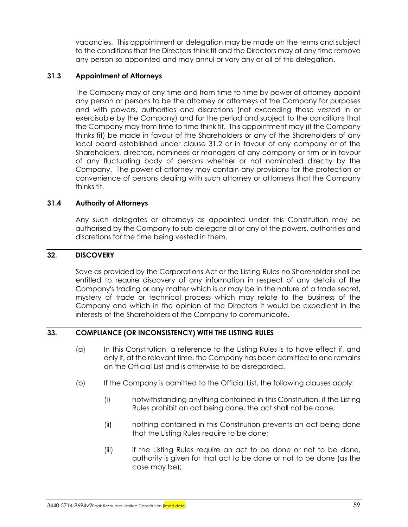vacancies. This appointment or delegation may be made on the terms and subject to the conditions that the Directors think fit and the Directors may at any time remove any person so appointed and may annul or vary any or all of this delegation.

### <span id="page-66-0"></span>**31.3 Appointment of Attorneys**

The Company may at any time and from time to time by power of attorney appoint any person or persons to be the attorney or attorneys of the Company for purposes and with powers, authorities and discretions (not exceeding those vested in or exercisable by the Company) and for the period and subject to the conditions that the Company may from time to time think fit. This appointment may (if the Company thinks fit) be made in favour of the Shareholders or any of the Shareholders of any local board established under clause [31.2](#page-65-0) or in favour of any company or of the Shareholders, directors, nominees or managers of any company or firm or in favour of any fluctuating body of persons whether or not nominated directly by the Company. The power of attorney may contain any provisions for the protection or convenience of persons dealing with such attorney or attorneys that the Company thinks fit.

# <span id="page-66-1"></span>**31.4 Authority of Attorneys**

Any such delegates or attorneys as appointed under this Constitution may be authorised by the Company to sub-delegate all or any of the powers, authorities and discretions for the time being vested in them.

### **32. DISCOVERY**

Save as provided by the Corporations Act or the Listing Rules no Shareholder shall be entitled to require discovery of any information in respect of any details of the Company's trading or any matter which is or may be in the nature of a trade secret, mystery of trade or technical process which may relate to the business of the Company and which in the opinion of the Directors it would be expedient in the interests of the Shareholders of the Company to communicate.

#### **33. COMPLIANCE (OR INCONSISTENCY) WITH THE LISTING RULES**

- (a) In this Constitution, a reference to the Listing Rules is to have effect if, and only if, at the relevant time, the Company has been admitted to and remains on the Official List and is otherwise to be disregarded.
- (b) If the Company is admitted to the Official List, the following clauses apply:
	- (i) notwithstanding anything contained in this Constitution, if the Listing Rules prohibit an act being done, the act shall not be done;
	- (ii) nothing contained in this Constitution prevents an act being done that the Listing Rules require to be done;
	- (iii) if the Listing Rules require an act to be done or not to be done, authority is given for that act to be done or not to be done (as the case may be);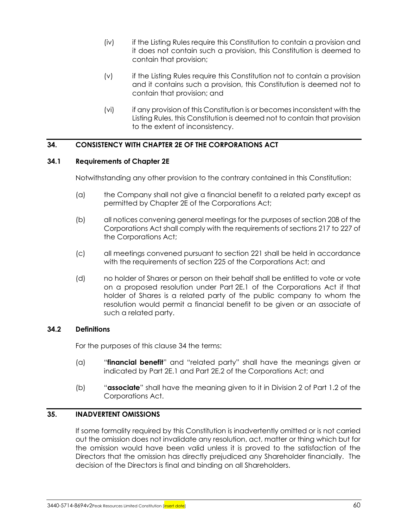- (iv) if the Listing Rules require this Constitution to contain a provision and it does not contain such a provision, this Constitution is deemed to contain that provision;
- (v) if the Listing Rules require this Constitution not to contain a provision and it contains such a provision, this Constitution is deemed not to contain that provision; and
- (vi) if any provision of this Constitution is or becomes inconsistent with the Listing Rules, this Constitution is deemed not to contain that provision to the extent of inconsistency.

# <span id="page-67-0"></span>**34. CONSISTENCY WITH CHAPTER 2E OF THE CORPORATIONS ACT**

# **34.1 Requirements of Chapter 2E**

Notwithstanding any other provision to the contrary contained in this Constitution:

- (a) the Company shall not give a financial benefit to a related party except as permitted by Chapter 2E of the Corporations Act;
- (b) all notices convening general meetings for the purposes of section 208 of the Corporations Act shall comply with the requirements of sections 217 to 227 of the Corporations Act;
- (c) all meetings convened pursuant to section 221 shall be held in accordance with the requirements of section 225 of the Corporations Act; and
- (d) no holder of Shares or person on their behalf shall be entitled to vote or vote on a proposed resolution under Part 2E.1 of the Corporations Act if that holder of Shares is a related party of the public company to whom the resolution would permit a financial benefit to be given or an associate of such a related party.

# **34.2 Definitions**

For the purposes of this clause [34](#page-67-0) the terms:

- (a) "**financial benefit**" and "related party" shall have the meanings given or indicated by Part 2E.1 and Part 2E.2 of the Corporations Act; and
- (b) "**associate**" shall have the meaning given to it in Division 2 of Part 1.2 of the Corporations Act.

# **35. INADVERTENT OMISSIONS**

If some formality required by this Constitution is inadvertently omitted or is not carried out the omission does not invalidate any resolution, act, matter or thing which but for the omission would have been valid unless it is proved to the satisfaction of the Directors that the omission has directly prejudiced any Shareholder financially. The decision of the Directors is final and binding on all Shareholders.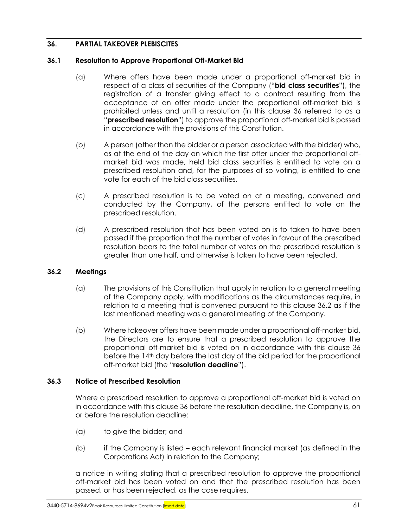# <span id="page-68-0"></span>**36. PARTIAL TAKEOVER PLEBISCITES**

### **36.1 Resolution to Approve Proportional Off-Market Bid**

- (a) Where offers have been made under a proportional off-market bid in respect of a class of securities of the Company ("**bid class securities**"), the registration of a transfer giving effect to a contract resulting from the acceptance of an offer made under the proportional off-market bid is prohibited unless and until a resolution (in this clause [36](#page-68-0) referred to as a "**prescribed resolution**") to approve the proportional off-market bid is passed in accordance with the provisions of this Constitution.
- (b) A person (other than the bidder or a person associated with the bidder) who, as at the end of the day on which the first offer under the proportional offmarket bid was made, held bid class securities is entitled to vote on a prescribed resolution and, for the purposes of so voting, is entitled to one vote for each of the bid class securities.
- (c) A prescribed resolution is to be voted on at a meeting, convened and conducted by the Company, of the persons entitled to vote on the prescribed resolution.
- (d) A prescribed resolution that has been voted on is to taken to have been passed if the proportion that the number of votes in favour of the prescribed resolution bears to the total number of votes on the prescribed resolution is greater than one half, and otherwise is taken to have been rejected.

# <span id="page-68-1"></span>**36.2 Meetings**

- (a) The provisions of this Constitution that apply in relation to a general meeting of the Company apply, with modifications as the circumstances require, in relation to a meeting that is convened pursuant to this clause [36.2](#page-68-1) as if the last mentioned meeting was a general meeting of the Company.
- (b) Where takeover offers have been made under a proportional off-market bid, the Directors are to ensure that a prescribed resolution to approve the proportional off-market bid is voted on in accordance with this clause [36](#page-68-0) before the 14th day before the last day of the bid period for the proportional off-market bid (the "**resolution deadline**").

# **36.3 Notice of Prescribed Resolution**

Where a prescribed resolution to approve a proportional off-market bid is voted on in accordance with this clause [36](#page-68-0) before the resolution deadline, the Company is, on or before the resolution deadline:

- (a) to give the bidder; and
- (b) if the Company is listed each relevant financial market (as defined in the Corporations Act) in relation to the Company;

a notice in writing stating that a prescribed resolution to approve the proportional off-market bid has been voted on and that the prescribed resolution has been passed, or has been rejected, as the case requires.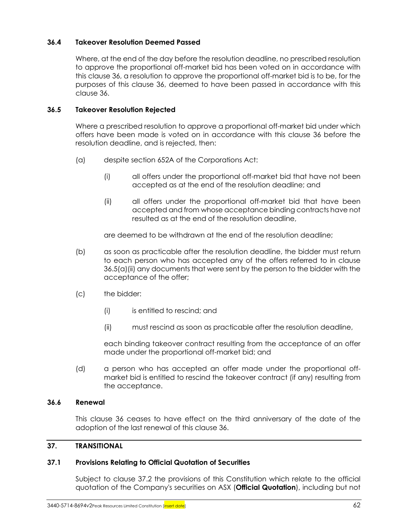# **36.4 Takeover Resolution Deemed Passed**

Where, at the end of the day before the resolution deadline, no prescribed resolution to approve the proportional off-market bid has been voted on in accordance with this clause [36,](#page-68-0) a resolution to approve the proportional off-market bid is to be, for the purposes of this clause [36,](#page-68-0) deemed to have been passed in accordance with this clause [36.](#page-68-0)

### **36.5 Takeover Resolution Rejected**

Where a prescribed resolution to approve a proportional off-market bid under which offers have been made is voted on in accordance with this clause [36](#page-68-0) before the resolution deadline, and is rejected, then:

- <span id="page-69-0"></span>(a) despite section 652A of the Corporations Act:
	- (i) all offers under the proportional off-market bid that have not been accepted as at the end of the resolution deadline; and
	- (ii) all offers under the proportional off-market bid that have been accepted and from whose acceptance binding contracts have not resulted as at the end of the resolution deadline,

are deemed to be withdrawn at the end of the resolution deadline;

- (b) as soon as practicable after the resolution deadline, the bidder must return to each person who has accepted any of the offers referred to in clause [36.5\(a\)\(ii\)](#page-69-0) any documents that were sent by the person to the bidder with the acceptance of the offer;
- (c) the bidder:
	- (i) is entitled to rescind; and
	- (ii) must rescind as soon as practicable after the resolution deadline,

each binding takeover contract resulting from the acceptance of an offer made under the proportional off-market bid; and

(d) a person who has accepted an offer made under the proportional offmarket bid is entitled to rescind the takeover contract (if any) resulting from the acceptance.

# **36.6 Renewal**

This clause [36](#page-68-0) ceases to have effect on the third anniversary of the date of the adoption of the last renewal of this claus[e 36.](#page-68-0)

#### **37. TRANSITIONAL**

#### <span id="page-69-1"></span>**37.1 Provisions Relating to Official Quotation of Securities**

Subject to clause [37.2](#page-70-0) the provisions of this Constitution which relate to the official quotation of the Company's securities on ASX (**Official Quotation**), including but not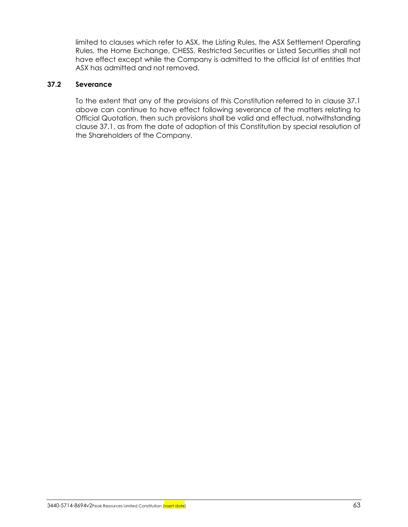limited to clauses which refer to ASX, the Listing Rules, the ASX Settlement Operating Rules, the Home Exchange, CHESS, Restricted Securities or Listed Securities shall not have effect except while the Company is admitted to the official list of entities that ASX has admitted and not removed.

# <span id="page-70-0"></span>**37.2 Severance**

To the extent that any of the provisions of this Constitution referred to in clause [37.1](#page-69-1) above can continue to have effect following severance of the matters relating to Official Quotation, then such provisions shall be valid and effectual, notwithstanding clause [37.1,](#page-69-1) as from the date of adoption of this Constitution by special resolution of the Shareholders of the Company.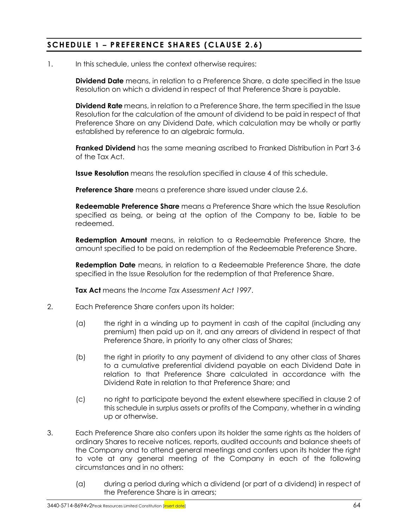# **SCHEDULE 1 – PREFERENCE SHARES (CLAUSE [2.6\)](#page-13-0)**

1. In this schedule, unless the context otherwise requires:

**Dividend Date** means, in relation to a Preference Share, a date specified in the Issue Resolution on which a dividend in respect of that Preference Share is payable.

**Dividend Rate** means, in relation to a Preference Share, the term specified in the Issue Resolution for the calculation of the amount of dividend to be paid in respect of that Preference Share on any Dividend Date, which calculation may be wholly or partly established by reference to an algebraic formula.

**Franked Dividend** has the same meaning ascribed to Franked Distribution in Part 3-6 of the Tax Act.

**Issue Resolution** means the resolution specified in clause [4](#page-72-0) of this schedule.

**Preference Share** means a preference share issued under clause [2.6.](#page-13-0)

**Redeemable Preference Share** means a Preference Share which the Issue Resolution specified as being, or being at the option of the Company to be, liable to be redeemed.

**Redemption Amount** means, in relation to a Redeemable Preference Share, the amount specified to be paid on redemption of the Redeemable Preference Share.

**Redemption Date** means, in relation to a Redeemable Preference Share, the date specified in the Issue Resolution for the redemption of that Preference Share.

**Tax Act** means the *Income Tax Assessment Act 1997*.

- <span id="page-71-0"></span>2. Each Preference Share confers upon its holder:
	- (a) the right in a winding up to payment in cash of the capital (including any premium) then paid up on it, and any arrears of dividend in respect of that Preference Share, in priority to any other class of Shares;
	- (b) the right in priority to any payment of dividend to any other class of Shares to a cumulative preferential dividend payable on each Dividend Date in relation to that Preference Share calculated in accordance with the Dividend Rate in relation to that Preference Share; and
	- (c) no right to participate beyond the extent elsewhere specified in clause [2](#page-71-0) of this schedule in surplus assets or profits of the Company, whether in a winding up or otherwise.
- 3. Each Preference Share also confers upon its holder the same rights as the holders of ordinary Shares to receive notices, reports, audited accounts and balance sheets of the Company and to attend general meetings and confers upon its holder the right to vote at any general meeting of the Company in each of the following circumstances and in no others:
	- (a) during a period during which a dividend (or part of a dividend) in respect of the Preference Share is in arrears;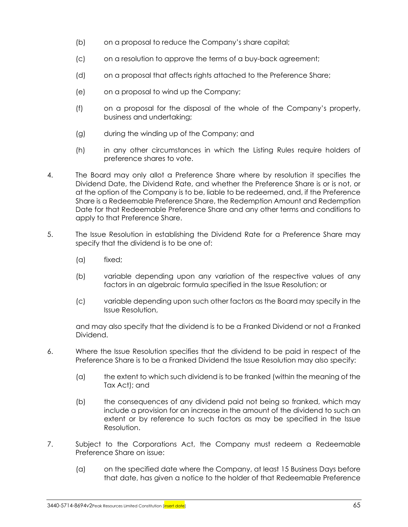- (b) on a proposal to reduce the Company's share capital;
- (c) on a resolution to approve the terms of a buy-back agreement;
- (d) on a proposal that affects rights attached to the Preference Share;
- (e) on a proposal to wind up the Company;
- (f) on a proposal for the disposal of the whole of the Company's property, business and undertaking;
- (g) during the winding up of the Company; and
- (h) in any other circumstances in which the Listing Rules require holders of preference shares to vote.
- 4. The Board may only allot a Preference Share where by resolution it specifies the Dividend Date, the Dividend Rate, and whether the Preference Share is or is not, or at the option of the Company is to be, liable to be redeemed, and, if the Preference Share is a Redeemable Preference Share, the Redemption Amount and Redemption Date for that Redeemable Preference Share and any other terms and conditions to apply to that Preference Share.
- 5. The Issue Resolution in establishing the Dividend Rate for a Preference Share may specify that the dividend is to be one of:
	- (a) fixed;
	- (b) variable depending upon any variation of the respective values of any factors in an algebraic formula specified in the Issue Resolution; or
	- (c) variable depending upon such other factors as the Board may specify in the Issue Resolution,

and may also specify that the dividend is to be a Franked Dividend or not a Franked Dividend.

- 6. Where the Issue Resolution specifies that the dividend to be paid in respect of the Preference Share is to be a Franked Dividend the Issue Resolution may also specify:
	- (a) the extent to which such dividend is to be franked (within the meaning of the Tax Act); and
	- (b) the consequences of any dividend paid not being so franked, which may include a provision for an increase in the amount of the dividend to such an extent or by reference to such factors as may be specified in the Issue Resolution.
- 7. Subject to the Corporations Act, the Company must redeem a Redeemable Preference Share on issue:
	- (a) on the specified date where the Company, at least 15 Business Days before that date, has given a notice to the holder of that Redeemable Preference